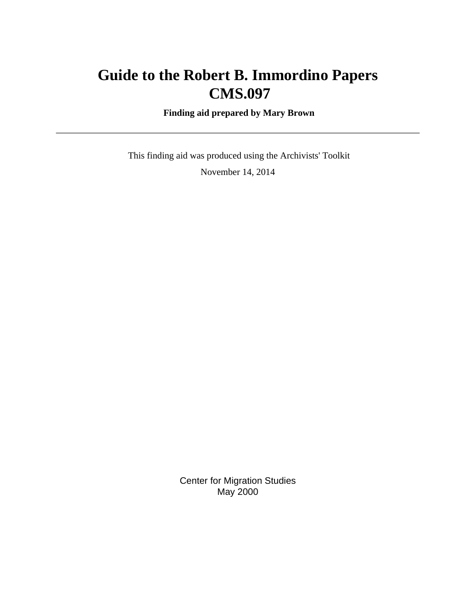# **Guide to the Robert B. Immordino Papers CMS.097**

 **Finding aid prepared by Mary Brown**

 This finding aid was produced using the Archivists' Toolkit November 14, 2014

> Center for Migration Studies May 2000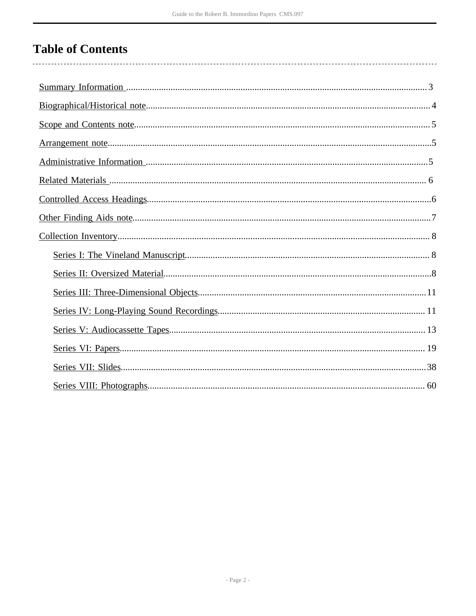# **Table of Contents**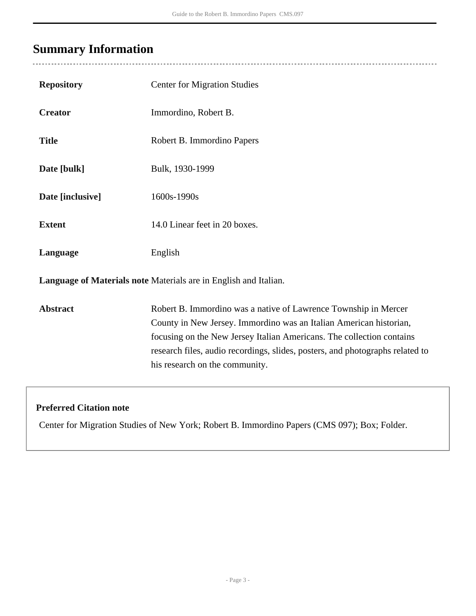# <span id="page-2-0"></span>**Summary Information**

 $\overline{a}$ 

| <b>Repository</b> | <b>Center for Migration Studies</b>                                                                                                                                                                                                                                                                                               |
|-------------------|-----------------------------------------------------------------------------------------------------------------------------------------------------------------------------------------------------------------------------------------------------------------------------------------------------------------------------------|
| <b>Creator</b>    | Immordino, Robert B.                                                                                                                                                                                                                                                                                                              |
| <b>Title</b>      | Robert B. Immordino Papers                                                                                                                                                                                                                                                                                                        |
| Date [bulk]       | Bulk, 1930-1999                                                                                                                                                                                                                                                                                                                   |
| Date [inclusive]  | 1600s-1990s                                                                                                                                                                                                                                                                                                                       |
| <b>Extent</b>     | 14.0 Linear feet in 20 boxes.                                                                                                                                                                                                                                                                                                     |
| Language          | English                                                                                                                                                                                                                                                                                                                           |
|                   | Language of Materials note Materials are in English and Italian.                                                                                                                                                                                                                                                                  |
| <b>Abstract</b>   | Robert B. Immordino was a native of Lawrence Township in Mercer<br>County in New Jersey. Immordino was an Italian American historian,<br>focusing on the New Jersey Italian Americans. The collection contains<br>research files, audio recordings, slides, posters, and photographs related to<br>his research on the community. |

## **Preferred Citation note**

Center for Migration Studies of New York; Robert B. Immordino Papers (CMS 097); Box; Folder.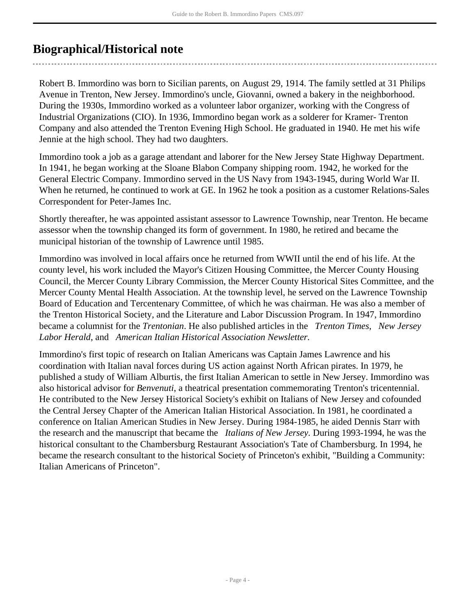## <span id="page-3-0"></span>**Biographical/Historical note**

Robert B. Immordino was born to Sicilian parents, on August 29, 1914. The family settled at 31 Philips Avenue in Trenton, New Jersey. Immordino's uncle, Giovanni, owned a bakery in the neighborhood. During the 1930s, Immordino worked as a volunteer labor organizer, working with the Congress of Industrial Organizations (CIO). In 1936, Immordino began work as a solderer for Kramer- Trenton Company and also attended the Trenton Evening High School. He graduated in 1940. He met his wife Jennie at the high school. They had two daughters.

Immordino took a job as a garage attendant and laborer for the New Jersey State Highway Department. In 1941, he began working at the Sloane Blabon Company shipping room. 1942, he worked for the General Electric Company. Immordino served in the US Navy from 1943-1945, during World War II. When he returned, he continued to work at GE. In 1962 he took a position as a customer Relations-Sales Correspondent for Peter-James Inc.

Shortly thereafter, he was appointed assistant assessor to Lawrence Township, near Trenton. He became assessor when the township changed its form of government. In 1980, he retired and became the municipal historian of the township of Lawrence until 1985.

Immordino was involved in local affairs once he returned from WWII until the end of his life. At the county level, his work included the Mayor's Citizen Housing Committee, the Mercer County Housing Council, the Mercer County Library Commission, the Mercer County Historical Sites Committee, and the Mercer County Mental Health Association. At the township level, he served on the Lawrence Township Board of Education and Tercentenary Committee, of which he was chairman. He was also a member of the Trenton Historical Society, and the Literature and Labor Discussion Program. In 1947, Immordino became a columnist for the *Trentonian*. He also published articles in the *Trenton Times*, *New Jersey Labor Herald*, and *American Italian Historical Association Newsletter.*

Immordino's first topic of research on Italian Americans was Captain James Lawrence and his coordination with Italian naval forces during US action against North African pirates. In 1979, he published a study of William Alburtis, the first Italian American to settle in New Jersey. Immordino was also historical advisor for *Benvenuti*, a theatrical presentation commemorating Trenton's tricentennial. He contributed to the New Jersey Historical Society's exhibit on Italians of New Jersey and cofounded the Central Jersey Chapter of the American Italian Historical Association. In 1981, he coordinated a conference on Italian American Studies in New Jersey. During 1984-1985, he aided Dennis Starr with the research and the manuscript that became the *Italians of New Jersey.* During 1993-1994, he was the historical consultant to the Chambersburg Restaurant Association's Tate of Chambersburg. In 1994, he became the research consultant to the historical Society of Princeton's exhibit, "Building a Community: Italian Americans of Princeton".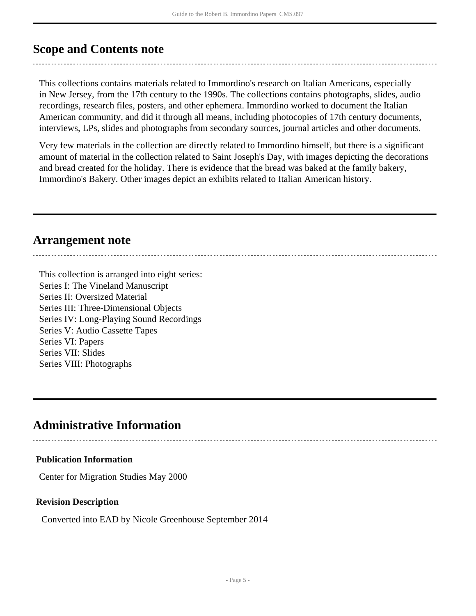## <span id="page-4-0"></span>**Scope and Contents note**

This collections contains materials related to Immordino's research on Italian Americans, especially in New Jersey, from the 17th century to the 1990s. The collections contains photographs, slides, audio recordings, research files, posters, and other ephemera. Immordino worked to document the Italian American community, and did it through all means, including photocopies of 17th century documents, interviews, LPs, slides and photographs from secondary sources, journal articles and other documents.

Very few materials in the collection are directly related to Immordino himself, but there is a significant amount of material in the collection related to Saint Joseph's Day, with images depicting the decorations and bread created for the holiday. There is evidence that the bread was baked at the family bakery, Immordino's Bakery. Other images depict an exhibits related to Italian American history.

## <span id="page-4-1"></span>**Arrangement note**

This collection is arranged into eight series: Series I: The Vineland Manuscript Series II: Oversized Material Series III: Three-Dimensional Objects Series IV: Long-Playing Sound Recordings Series V: Audio Cassette Tapes Series VI: Papers Series VII: Slides Series VIII: Photographs

## <span id="page-4-2"></span>**Administrative Information**

## **Publication Information**

Center for Migration Studies May 2000

## **Revision Description**

Converted into EAD by Nicole Greenhouse September 2014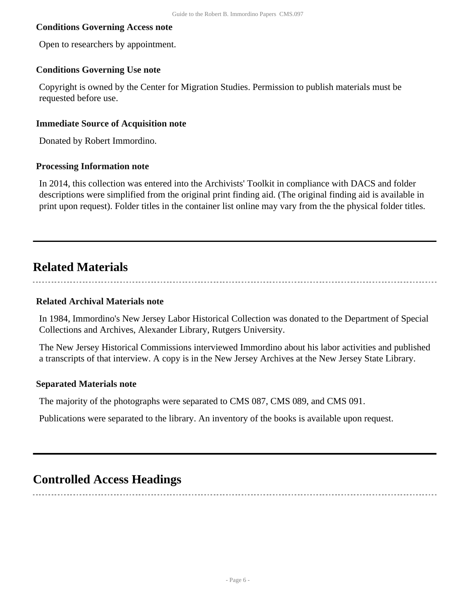### **Conditions Governing Access note**

Open to researchers by appointment.

### **Conditions Governing Use note**

Copyright is owned by the Center for Migration Studies. Permission to publish materials must be requested before use.

### **Immediate Source of Acquisition note**

Donated by Robert Immordino.

#### **Processing Information note**

In 2014, this collection was entered into the Archivists' Toolkit in compliance with DACS and folder descriptions were simplified from the original print finding aid. (The original finding aid is available in print upon request). Folder titles in the container list online may vary from the the physical folder titles.

## <span id="page-5-0"></span>**Related Materials**

#### **Related Archival Materials note**

In 1984, Immordino's New Jersey Labor Historical Collection was donated to the Department of Special Collections and Archives, Alexander Library, Rutgers University.

The New Jersey Historical Commissions interviewed Immordino about his labor activities and published a transcripts of that interview. A copy is in the New Jersey Archives at the New Jersey State Library.

#### **Separated Materials note**

The majority of the photographs were separated to CMS 087, CMS 089, and CMS 091.

Publications were separated to the library. An inventory of the books is available upon request.

## <span id="page-5-1"></span>**Controlled Access Headings**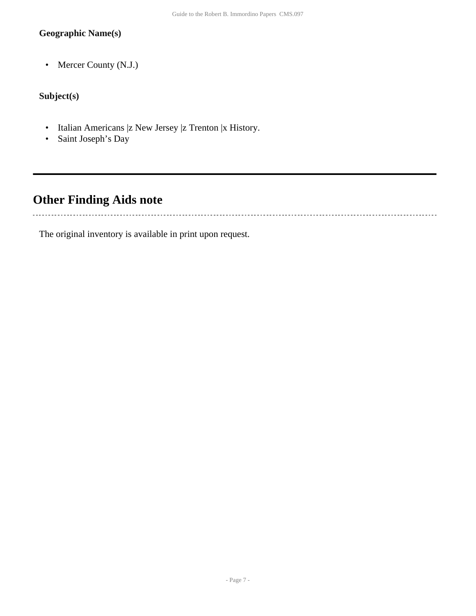## **Geographic Name(s)**

• Mercer County (N.J.)

## **Subject(s)**

- Italian Americans |z New Jersey |z Trenton |x History.
- Saint Joseph's Day

## <span id="page-6-0"></span>**Other Finding Aids note**

The original inventory is available in print upon request.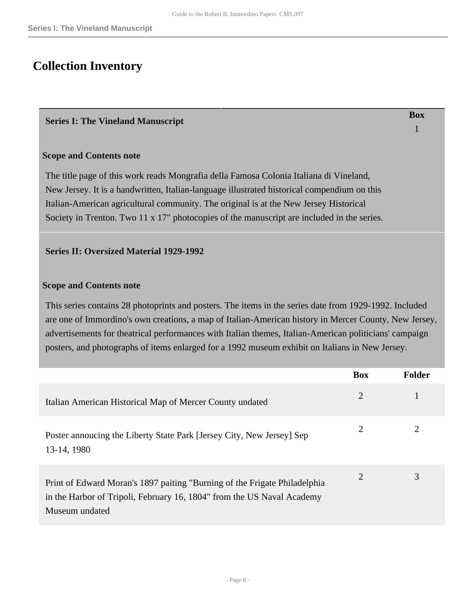**Box** 1

## <span id="page-7-0"></span>**Collection Inventory**

### <span id="page-7-1"></span>**Series I: The Vineland Manuscript**

### **Scope and Contents note**

The title page of this work reads Mongrafia della Famosa Colonia Italiana di Vineland, New Jersey. It is a handwritten, Italian-language illustrated historical compendium on this Italian-American agricultural community. The original is at the New Jersey Historical Society in Trenton. Two 11 x 17" photocopies of the manuscript are included in the series.

### <span id="page-7-2"></span>**Series II: Oversized Material 1929-1992**

### **Scope and Contents note**

This series contains 28 photoprints and posters. The items in the series date from 1929-1992. Included are one of Immordino's own creations, a map of Italian-American history in Mercer County, New Jersey, advertisements for theatrical performances with Italian themes, Italian-American politicians' campaign posters, and photographs of items enlarged for a 1992 museum exhibit on Italians in New Jersey.

|                                                                                                                                                                       | <b>Box</b>     | <b>Folder</b> |
|-----------------------------------------------------------------------------------------------------------------------------------------------------------------------|----------------|---------------|
| Italian American Historical Map of Mercer County undated                                                                                                              | $\overline{2}$ |               |
| Poster annoucing the Liberty State Park [Jersey City, New Jersey] Sep<br>13-14, 1980                                                                                  | 2              | 2             |
| Print of Edward Moran's 1897 paiting "Burning of the Frigate Philadelphia<br>in the Harbor of Tripoli, February 16, 1804" from the US Naval Academy<br>Museum undated | $\overline{2}$ | 3             |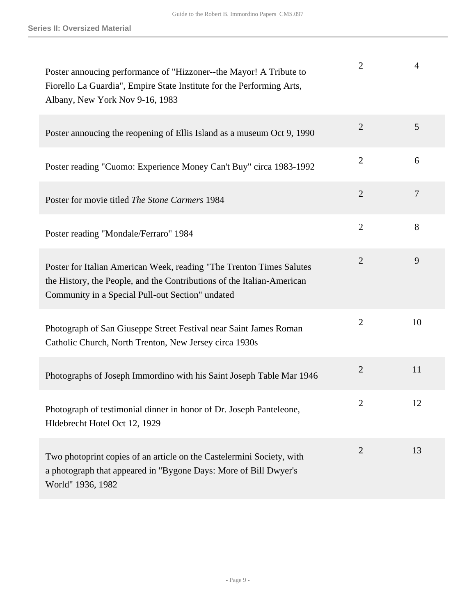| Poster annoucing performance of "Hizzoner--the Mayor! A Tribute to<br>Fiorello La Guardia", Empire State Institute for the Performing Arts,<br>Albany, New York Nov 9-16, 1983                     | $\overline{2}$ | 4              |
|----------------------------------------------------------------------------------------------------------------------------------------------------------------------------------------------------|----------------|----------------|
| Poster annoucing the reopening of Ellis Island as a museum Oct 9, 1990                                                                                                                             | $\overline{2}$ | 5              |
| Poster reading "Cuomo: Experience Money Can't Buy" circa 1983-1992                                                                                                                                 | $\overline{2}$ | 6              |
| Poster for movie titled The Stone Carmers 1984                                                                                                                                                     | $\overline{2}$ | $\overline{7}$ |
| Poster reading "Mondale/Ferraro" 1984                                                                                                                                                              | $\overline{2}$ | 8              |
| Poster for Italian American Week, reading "The Trenton Times Salutes<br>the History, the People, and the Contributions of the Italian-American<br>Community in a Special Pull-out Section" undated | $\overline{2}$ | 9              |
| Photograph of San Giuseppe Street Festival near Saint James Roman<br>Catholic Church, North Trenton, New Jersey circa 1930s                                                                        | $\overline{2}$ | 10             |
| Photographs of Joseph Immordino with his Saint Joseph Table Mar 1946                                                                                                                               | $\overline{2}$ | 11             |
| Photograph of testimonial dinner in honor of Dr. Joseph Panteleone,<br>Hldebrecht Hotel Oct 12, 1929                                                                                               | 2              | 12             |
| Two photoprint copies of an article on the Castelermini Society, with<br>a photograph that appeared in "Bygone Days: More of Bill Dwyer's<br>World" 1936, 1982                                     | $\overline{2}$ | 13             |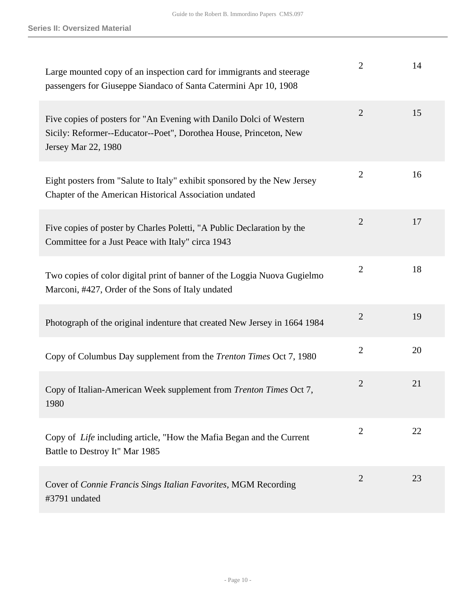| Large mounted copy of an inspection card for immigrants and steerage<br>passengers for Giuseppe Siandaco of Santa Catermini Apr 10, 1908                        | $\overline{2}$ | 14 |
|-----------------------------------------------------------------------------------------------------------------------------------------------------------------|----------------|----|
| Five copies of posters for "An Evening with Danilo Dolci of Western<br>Sicily: Reformer--Educator--Poet", Dorothea House, Princeton, New<br>Jersey Mar 22, 1980 | $\overline{2}$ | 15 |
| Eight posters from "Salute to Italy" exhibit sponsored by the New Jersey<br>Chapter of the American Historical Association undated                              | $\overline{2}$ | 16 |
| Five copies of poster by Charles Poletti, "A Public Declaration by the<br>Committee for a Just Peace with Italy" circa 1943                                     | $\overline{2}$ | 17 |
| Two copies of color digital print of banner of the Loggia Nuova Gugielmo<br>Marconi, #427, Order of the Sons of Italy undated                                   | $\overline{2}$ | 18 |
| Photograph of the original indenture that created New Jersey in 1664 1984                                                                                       | $\overline{2}$ | 19 |
| Copy of Columbus Day supplement from the <i>Trenton Times</i> Oct 7, 1980                                                                                       | $\overline{2}$ | 20 |
| Copy of Italian-American Week supplement from Trenton Times Oct 7,<br>1980                                                                                      | $\overline{2}$ | 21 |
| Copy of Life including article, "How the Mafia Began and the Current<br>Battle to Destroy It" Mar 1985                                                          | $\overline{2}$ | 22 |
| Cover of Connie Francis Sings Italian Favorites, MGM Recording<br>#3791 undated                                                                                 | $\overline{2}$ | 23 |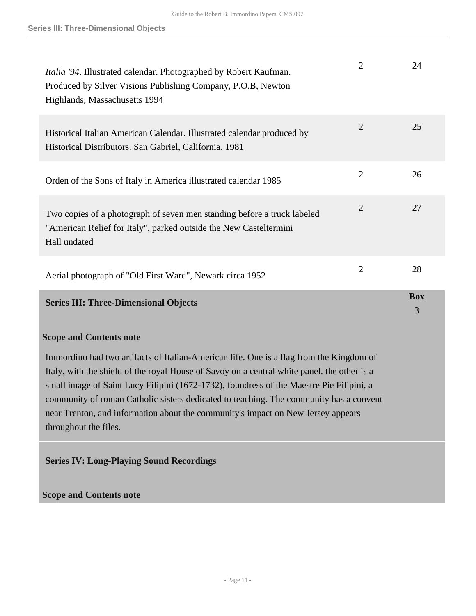| <i>Italia '94</i> . Illustrated calendar. Photographed by Robert Kaufman.<br>Produced by Silver Visions Publishing Company, P.O.B, Newton<br>Highlands, Massachusetts 1994                                                                                                                                                                                                                                                                                                                | $\overline{2}$ | 24              |
|-------------------------------------------------------------------------------------------------------------------------------------------------------------------------------------------------------------------------------------------------------------------------------------------------------------------------------------------------------------------------------------------------------------------------------------------------------------------------------------------|----------------|-----------------|
| Historical Italian American Calendar. Illustrated calendar produced by<br>Historical Distributors. San Gabriel, California. 1981                                                                                                                                                                                                                                                                                                                                                          | $\overline{2}$ | 25              |
| Orden of the Sons of Italy in America illustrated calendar 1985                                                                                                                                                                                                                                                                                                                                                                                                                           | $\overline{2}$ | 26              |
| Two copies of a photograph of seven men standing before a truck labeled<br>"American Relief for Italy", parked outside the New Casteltermini<br>Hall undated                                                                                                                                                                                                                                                                                                                              | $\mathbf{2}$   | 27              |
| Aerial photograph of "Old First Ward", Newark circa 1952                                                                                                                                                                                                                                                                                                                                                                                                                                  | $\overline{2}$ | 28              |
| <b>Series III: Three-Dimensional Objects</b>                                                                                                                                                                                                                                                                                                                                                                                                                                              |                | <b>Box</b><br>3 |
| <b>Scope and Contents note</b>                                                                                                                                                                                                                                                                                                                                                                                                                                                            |                |                 |
| Immordino had two artifacts of Italian-American life. One is a flag from the Kingdom of<br>Italy, with the shield of the royal House of Savoy on a central white panel. the other is a<br>small image of Saint Lucy Filipini (1672-1732), foundress of the Maestre Pie Filipini, a<br>community of roman Catholic sisters dedicated to teaching. The community has a convent<br>near Trenton, and information about the community's impact on New Jersey appears<br>throughout the files. |                |                 |
| <b>Series IV: Long-Playing Sound Recordings</b>                                                                                                                                                                                                                                                                                                                                                                                                                                           |                |                 |

## <span id="page-10-1"></span><span id="page-10-0"></span>**Scope and Contents note**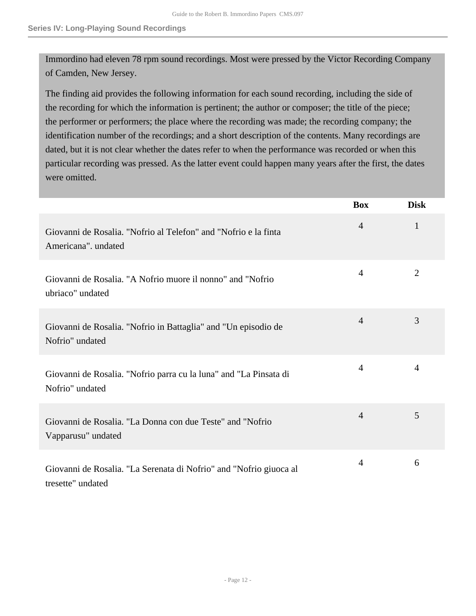Immordino had eleven 78 rpm sound recordings. Most were pressed by the Victor Recording Company of Camden, New Jersey.

The finding aid provides the following information for each sound recording, including the side of the recording for which the information is pertinent; the author or composer; the title of the piece; the performer or performers; the place where the recording was made; the recording company; the identification number of the recordings; and a short description of the contents. Many recordings are dated, but it is not clear whether the dates refer to when the performance was recorded or when this particular recording was pressed. As the latter event could happen many years after the first, the dates were omitted.

|                                                                                         | <b>Box</b>     | <b>Disk</b>    |
|-----------------------------------------------------------------------------------------|----------------|----------------|
| Giovanni de Rosalia. "Nofrio al Telefon" and "Nofrio e la finta<br>Americana". undated  | $\overline{4}$ | 1              |
| Giovanni de Rosalia. "A Nofrio muore il nonno" and "Nofrio<br>ubriaco" undated          | $\overline{4}$ | $\overline{2}$ |
| Giovanni de Rosalia. "Nofrio in Battaglia" and "Un episodio de<br>Nofrio" undated       | $\overline{4}$ | 3              |
| Giovanni de Rosalia. "Nofrio parra cu la luna" and "La Pinsata di<br>Nofrio" undated    | $\overline{4}$ | $\overline{4}$ |
| Giovanni de Rosalia. "La Donna con due Teste" and "Nofrio<br>Vapparusu" undated         | $\overline{4}$ | 5              |
| Giovanni de Rosalia. "La Serenata di Nofrio" and "Nofrio giuoca al<br>tresette" undated | $\overline{4}$ | 6              |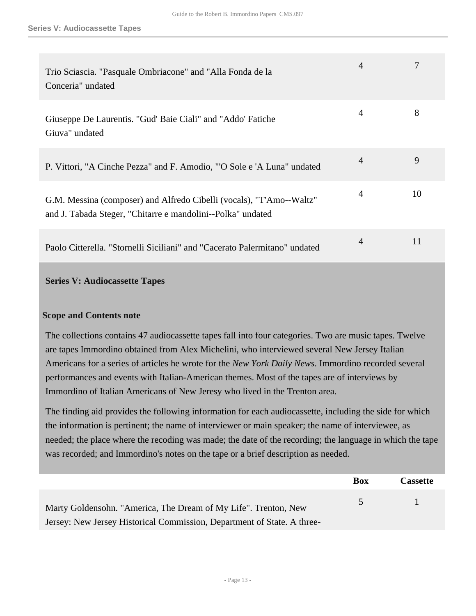| Trio Sciascia. "Pasquale Ombriacone" and "Alla Fonda de la<br>Conceria" undated                                                     | 4              |    |
|-------------------------------------------------------------------------------------------------------------------------------------|----------------|----|
| Giuseppe De Laurentis. "Gud' Baie Ciali" and "Addo' Fatiche<br>Giuva" undated                                                       | 4              | 8  |
| P. Vittori, "A Cinche Pezza" and F. Amodio, "O Sole e 'A Luna" undated                                                              | $\overline{4}$ | 9  |
| G.M. Messina (composer) and Alfredo Cibelli (vocals), "T'Amo--Waltz"<br>and J. Tabada Steger, "Chitarre e mandolini--Polka" undated | 4              | 10 |
| Paolo Citterella. "Stornelli Siciliani" and "Cacerato Palermitano" undated                                                          | 4              | 11 |
|                                                                                                                                     |                |    |

### <span id="page-12-0"></span>**Series V: Audiocassette Tapes**

### **Scope and Contents note**

The collections contains 47 audiocassette tapes fall into four categories. Two are music tapes. Twelve are tapes Immordino obtained from Alex Michelini, who interviewed several New Jersey Italian Americans for a series of articles he wrote for the *New York Daily News*. Immordino recorded several performances and events with Italian-American themes. Most of the tapes are of interviews by Immordino of Italian Americans of New Jeresy who lived in the Trenton area.

The finding aid provides the following information for each audiocassette, including the side for which the information is pertinent; the name of interviewer or main speaker; the name of interviewee, as needed; the place where the recoding was made; the date of the recording; the language in which the tape was recorded; and Immordino's notes on the tape or a brief description as needed.

|                                                                         | <b>Box</b> | <b>Cassette</b> |
|-------------------------------------------------------------------------|------------|-----------------|
| Marty Goldensohn. "America, The Dream of My Life". Trenton, New         | $\sim$     |                 |
| Jersey: New Jersey Historical Commission, Department of State. A three- |            |                 |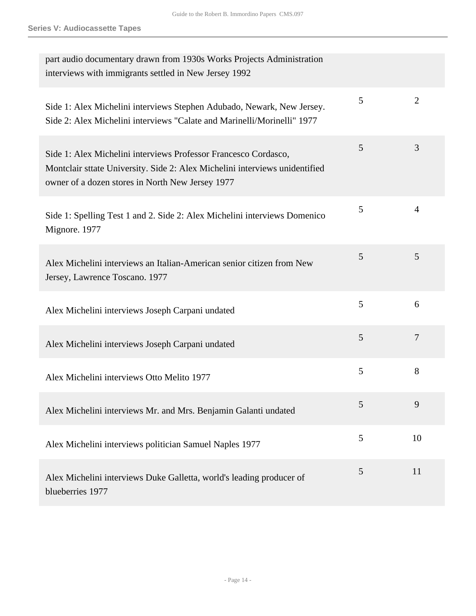| part audio documentary drawn from 1930s Works Projects Administration<br>interviews with immigrants settled in New Jersey 1992                                                                     |   |                |
|----------------------------------------------------------------------------------------------------------------------------------------------------------------------------------------------------|---|----------------|
| Side 1: Alex Michelini interviews Stephen Adubado, Newark, New Jersey.<br>Side 2: Alex Michelini interviews "Calate and Marinelli/Morinelli" 1977                                                  | 5 | 2              |
| Side 1: Alex Michelini interviews Professor Francesco Cordasco,<br>Montclair sttate University. Side 2: Alex Michelini interviews unidentified<br>owner of a dozen stores in North New Jersey 1977 | 5 | 3              |
| Side 1: Spelling Test 1 and 2. Side 2: Alex Michelini interviews Domenico<br>Mignore. 1977                                                                                                         | 5 | $\overline{4}$ |
| Alex Michelini interviews an Italian-American senior citizen from New<br>Jersey, Lawrence Toscano. 1977                                                                                            | 5 | 5              |
| Alex Michelini interviews Joseph Carpani undated                                                                                                                                                   | 5 | 6              |
| Alex Michelini interviews Joseph Carpani undated                                                                                                                                                   | 5 | 7              |
| Alex Michelini interviews Otto Melito 1977                                                                                                                                                         | 5 | 8              |
| Alex Michelini interviews Mr. and Mrs. Benjamin Galanti undated                                                                                                                                    | 5 | 9              |
| Alex Michelini interviews politician Samuel Naples 1977                                                                                                                                            | 5 | 10             |
| Alex Michelini interviews Duke Galletta, world's leading producer of<br>blueberries 1977                                                                                                           | 5 | 11             |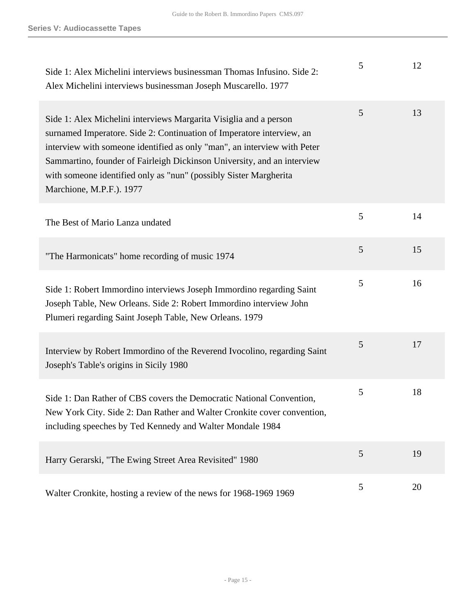| Side 1: Alex Michelini interviews businessman Thomas Infusino. Side 2:<br>Alex Michelini interviews businessman Joseph Muscarello. 1977                                                                                                                                                                                                                                                            | 5 | 12 |
|----------------------------------------------------------------------------------------------------------------------------------------------------------------------------------------------------------------------------------------------------------------------------------------------------------------------------------------------------------------------------------------------------|---|----|
| Side 1: Alex Michelini interviews Margarita Visiglia and a person<br>surnamed Imperatore. Side 2: Continuation of Imperatore interview, an<br>interview with someone identified as only "man", an interview with Peter<br>Sammartino, founder of Fairleigh Dickinson University, and an interview<br>with someone identified only as "nun" (possibly Sister Margherita<br>Marchione, M.P.F.). 1977 | 5 | 13 |
| The Best of Mario Lanza undated                                                                                                                                                                                                                                                                                                                                                                    | 5 | 14 |
| "The Harmonicats" home recording of music 1974                                                                                                                                                                                                                                                                                                                                                     | 5 | 15 |
| Side 1: Robert Immordino interviews Joseph Immordino regarding Saint<br>Joseph Table, New Orleans. Side 2: Robert Immordino interview John<br>Plumeri regarding Saint Joseph Table, New Orleans. 1979                                                                                                                                                                                              | 5 | 16 |
| Interview by Robert Immordino of the Reverend Ivocolino, regarding Saint<br>Joseph's Table's origins in Sicily 1980                                                                                                                                                                                                                                                                                | 5 | 17 |
| Side 1: Dan Rather of CBS covers the Democratic National Convention,<br>New York City. Side 2: Dan Rather and Walter Cronkite cover convention,<br>including speeches by Ted Kennedy and Walter Mondale 1984                                                                                                                                                                                       | 5 | 18 |
| Harry Gerarski, "The Ewing Street Area Revisited" 1980                                                                                                                                                                                                                                                                                                                                             | 5 | 19 |
| Walter Cronkite, hosting a review of the news for 1968-1969 1969                                                                                                                                                                                                                                                                                                                                   | 5 | 20 |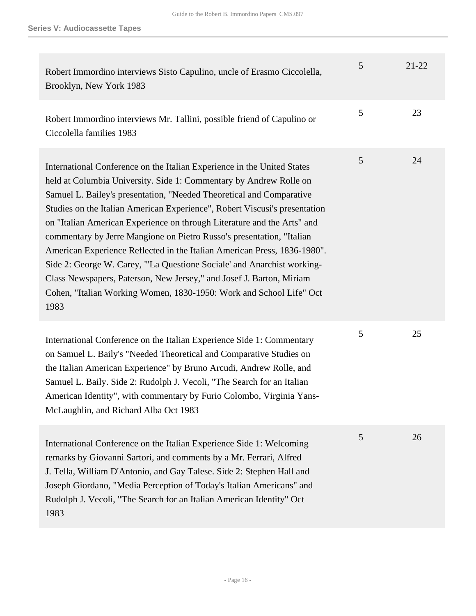| Robert Immordino interviews Sisto Capulino, uncle of Erasmo Ciccolella,<br>Brooklyn, New York 1983                                                                                                                                                                                                                                                                                                                                                                                                                                                                                                                                                                                                                                                                    | $\mathfrak{S}$ | $21 - 22$ |
|-----------------------------------------------------------------------------------------------------------------------------------------------------------------------------------------------------------------------------------------------------------------------------------------------------------------------------------------------------------------------------------------------------------------------------------------------------------------------------------------------------------------------------------------------------------------------------------------------------------------------------------------------------------------------------------------------------------------------------------------------------------------------|----------------|-----------|
| Robert Immordino interviews Mr. Tallini, possible friend of Capulino or<br>Ciccolella families 1983                                                                                                                                                                                                                                                                                                                                                                                                                                                                                                                                                                                                                                                                   | 5              | 23        |
| International Conference on the Italian Experience in the United States<br>held at Columbia University. Side 1: Commentary by Andrew Rolle on<br>Samuel L. Bailey's presentation, "Needed Theoretical and Comparative<br>Studies on the Italian American Experience", Robert Viscusi's presentation<br>on "Italian American Experience on through Literature and the Arts" and<br>commentary by Jerre Mangione on Pietro Russo's presentation, "Italian<br>American Experience Reflected in the Italian American Press, 1836-1980".<br>Side 2: George W. Carey, "'La Questione Sociale' and Anarchist working-<br>Class Newspapers, Paterson, New Jersey," and Josef J. Barton, Miriam<br>Cohen, "Italian Working Women, 1830-1950: Work and School Life" Oct<br>1983 | 5              | 24        |
| International Conference on the Italian Experience Side 1: Commentary<br>on Samuel L. Baily's "Needed Theoretical and Comparative Studies on<br>the Italian American Experience" by Bruno Arcudi, Andrew Rolle, and<br>Samuel L. Baily. Side 2: Rudolph J. Vecoli, "The Search for an Italian<br>American Identity", with commentary by Furio Colombo, Virginia Yans-<br>McLaughlin, and Richard Alba Oct 1983                                                                                                                                                                                                                                                                                                                                                        | 5              | 25        |
| International Conference on the Italian Experience Side 1: Welcoming<br>remarks by Giovanni Sartori, and comments by a Mr. Ferrari, Alfred<br>J. Tella, William D'Antonio, and Gay Talese. Side 2: Stephen Hall and<br>Joseph Giordano, "Media Perception of Today's Italian Americans" and<br>Rudolph J. Vecoli, "The Search for an Italian American Identity" Oct<br>1983                                                                                                                                                                                                                                                                                                                                                                                           | 5              | 26        |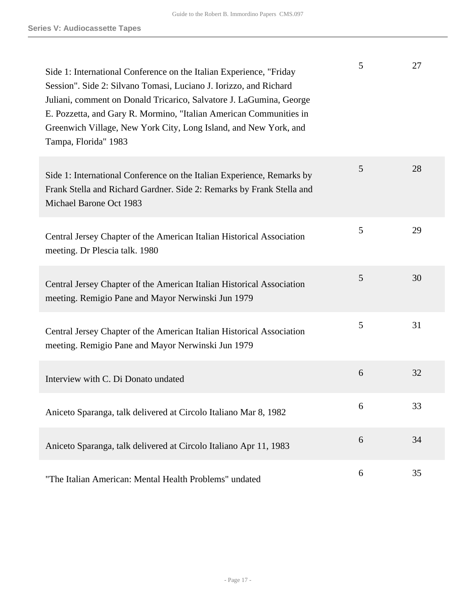| Side 1: International Conference on the Italian Experience, "Friday<br>Session". Side 2: Silvano Tomasi, Luciano J. Iorizzo, and Richard<br>Juliani, comment on Donald Tricarico, Salvatore J. LaGumina, George<br>E. Pozzetta, and Gary R. Mormino, "Italian American Communities in<br>Greenwich Village, New York City, Long Island, and New York, and<br>Tampa, Florida" 1983 | 5 | 27 |
|-----------------------------------------------------------------------------------------------------------------------------------------------------------------------------------------------------------------------------------------------------------------------------------------------------------------------------------------------------------------------------------|---|----|
| Side 1: International Conference on the Italian Experience, Remarks by<br>Frank Stella and Richard Gardner. Side 2: Remarks by Frank Stella and<br>Michael Barone Oct 1983                                                                                                                                                                                                        | 5 | 28 |
| Central Jersey Chapter of the American Italian Historical Association<br>meeting. Dr Plescia talk. 1980                                                                                                                                                                                                                                                                           | 5 | 29 |
| Central Jersey Chapter of the American Italian Historical Association<br>meeting. Remigio Pane and Mayor Nerwinski Jun 1979                                                                                                                                                                                                                                                       | 5 | 30 |
| Central Jersey Chapter of the American Italian Historical Association<br>meeting. Remigio Pane and Mayor Nerwinski Jun 1979                                                                                                                                                                                                                                                       | 5 | 31 |
| Interview with C. Di Donato undated                                                                                                                                                                                                                                                                                                                                               | 6 | 32 |
| Aniceto Sparanga, talk delivered at Circolo Italiano Mar 8, 1982                                                                                                                                                                                                                                                                                                                  | 6 | 33 |
| Aniceto Sparanga, talk delivered at Circolo Italiano Apr 11, 1983                                                                                                                                                                                                                                                                                                                 | 6 | 34 |
| "The Italian American: Mental Health Problems" undated                                                                                                                                                                                                                                                                                                                            | 6 | 35 |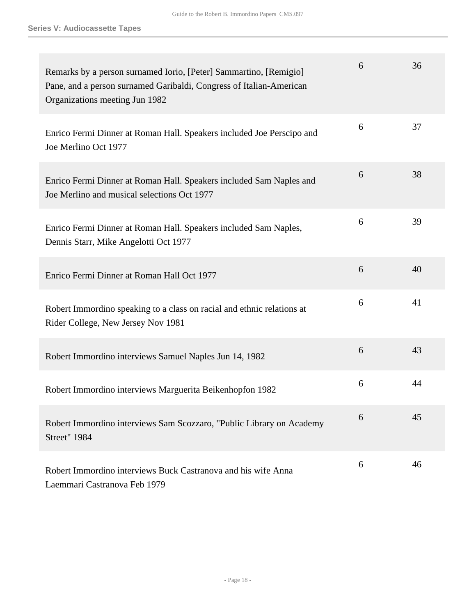| Remarks by a person surnamed Iorio, [Peter] Sammartino, [Remigio]<br>Pane, and a person surnamed Garibaldi, Congress of Italian-American<br>Organizations meeting Jun 1982 | 6 | 36 |
|----------------------------------------------------------------------------------------------------------------------------------------------------------------------------|---|----|
| Enrico Fermi Dinner at Roman Hall. Speakers included Joe Perscipo and<br>Joe Merlino Oct 1977                                                                              | 6 | 37 |
| Enrico Fermi Dinner at Roman Hall. Speakers included Sam Naples and<br>Joe Merlino and musical selections Oct 1977                                                         | 6 | 38 |
| Enrico Fermi Dinner at Roman Hall. Speakers included Sam Naples,<br>Dennis Starr, Mike Angelotti Oct 1977                                                                  | 6 | 39 |
| Enrico Fermi Dinner at Roman Hall Oct 1977                                                                                                                                 | 6 | 40 |
| Robert Immordino speaking to a class on racial and ethnic relations at<br>Rider College, New Jersey Nov 1981                                                               | 6 | 41 |
| Robert Immordino interviews Samuel Naples Jun 14, 1982                                                                                                                     | 6 | 43 |
| Robert Immordino interviews Marguerita Beikenhopfon 1982                                                                                                                   | 6 | 44 |
| Robert Immordino interviews Sam Scozzaro, "Public Library on Academy<br><b>Street"</b> 1984                                                                                | 6 | 45 |
| Robert Immordino interviews Buck Castranova and his wife Anna<br>Laemmari Castranova Feb 1979                                                                              | 6 | 46 |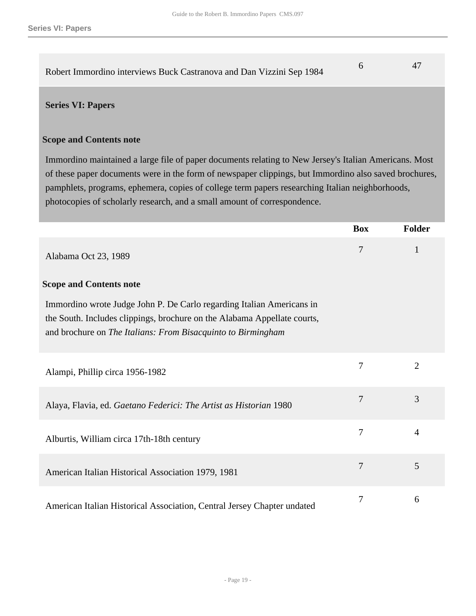| Robert Immordino interviews Buck Castranova and Dan Vizzini Sep 1984 |  |
|----------------------------------------------------------------------|--|

#### <span id="page-18-0"></span>**Series VI: Papers**

#### **Scope and Contents note**

Immordino maintained a large file of paper documents relating to New Jersey's Italian Americans. Most of these paper documents were in the form of newspaper clippings, but Immordino also saved brochures, pamphlets, programs, ephemera, copies of college term papers researching Italian neighborhoods, photocopies of scholarly research, and a small amount of correspondence.

|                                                                                                                                                                                                                   | <b>Box</b> | <b>Folder</b>  |
|-------------------------------------------------------------------------------------------------------------------------------------------------------------------------------------------------------------------|------------|----------------|
| Alabama Oct 23, 1989                                                                                                                                                                                              | 7          | 1              |
| <b>Scope and Contents note</b>                                                                                                                                                                                    |            |                |
| Immordino wrote Judge John P. De Carlo regarding Italian Americans in<br>the South. Includes clippings, brochure on the Alabama Appellate courts,<br>and brochure on The Italians: From Bisacquinto to Birmingham |            |                |
| Alampi, Phillip circa 1956-1982                                                                                                                                                                                   | 7          | $\overline{2}$ |
| Alaya, Flavia, ed. Gaetano Federici: The Artist as Historian 1980                                                                                                                                                 | 7          | 3              |
| Alburtis, William circa 17th-18th century                                                                                                                                                                         | 7          | $\overline{4}$ |
| American Italian Historical Association 1979, 1981                                                                                                                                                                | 7          | 5              |
| American Italian Historical Association, Central Jersey Chapter undated                                                                                                                                           | $\tau$     | 6              |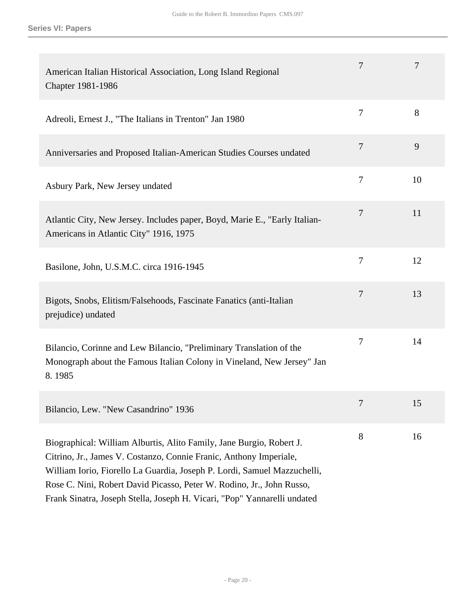| American Italian Historical Association, Long Island Regional<br>Chapter 1981-1986                                                                                                                                                                                                                                                                                          | 7              | 7  |
|-----------------------------------------------------------------------------------------------------------------------------------------------------------------------------------------------------------------------------------------------------------------------------------------------------------------------------------------------------------------------------|----------------|----|
| Adreoli, Ernest J., "The Italians in Trenton" Jan 1980                                                                                                                                                                                                                                                                                                                      | $\overline{7}$ | 8  |
| Anniversaries and Proposed Italian-American Studies Courses undated                                                                                                                                                                                                                                                                                                         | $\overline{7}$ | 9  |
| Asbury Park, New Jersey undated                                                                                                                                                                                                                                                                                                                                             | 7              | 10 |
| Atlantic City, New Jersey. Includes paper, Boyd, Marie E., "Early Italian-<br>Americans in Atlantic City" 1916, 1975                                                                                                                                                                                                                                                        | 7              | 11 |
| Basilone, John, U.S.M.C. circa 1916-1945                                                                                                                                                                                                                                                                                                                                    | $\overline{7}$ | 12 |
| Bigots, Snobs, Elitism/Falsehoods, Fascinate Fanatics (anti-Italian<br>prejudice) undated                                                                                                                                                                                                                                                                                   | $\overline{7}$ | 13 |
| Bilancio, Corinne and Lew Bilancio, "Preliminary Translation of the<br>Monograph about the Famous Italian Colony in Vineland, New Jersey" Jan<br>8.1985                                                                                                                                                                                                                     | 7              | 14 |
| Bilancio, Lew. "New Casandrino" 1936                                                                                                                                                                                                                                                                                                                                        | 7              | 15 |
| Biographical: William Alburtis, Alito Family, Jane Burgio, Robert J.<br>Citrino, Jr., James V. Costanzo, Connie Franic, Anthony Imperiale,<br>William Iorio, Fiorello La Guardia, Joseph P. Lordi, Samuel Mazzuchelli,<br>Rose C. Nini, Robert David Picasso, Peter W. Rodino, Jr., John Russo,<br>Frank Sinatra, Joseph Stella, Joseph H. Vicari, "Pop" Yannarelli undated | 8              | 16 |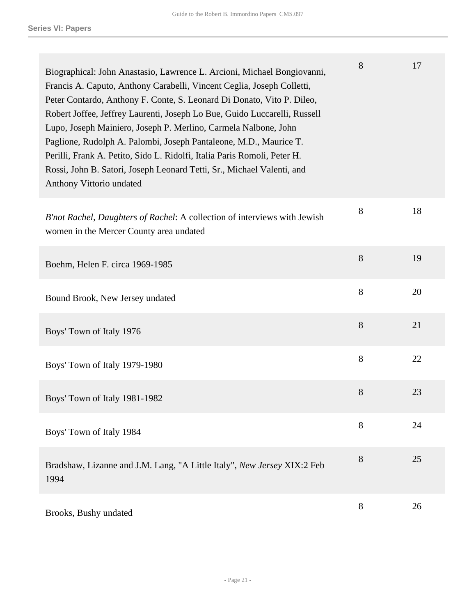| Biographical: John Anastasio, Lawrence L. Arcioni, Michael Bongiovanni,<br>Francis A. Caputo, Anthony Carabelli, Vincent Ceglia, Joseph Colletti,<br>Peter Contardo, Anthony F. Conte, S. Leonard Di Donato, Vito P. Dileo,<br>Robert Joffee, Jeffrey Laurenti, Joseph Lo Bue, Guido Luccarelli, Russell<br>Lupo, Joseph Mainiero, Joseph P. Merlino, Carmela Nalbone, John<br>Paglione, Rudolph A. Palombi, Joseph Pantaleone, M.D., Maurice T.<br>Perilli, Frank A. Petito, Sido L. Ridolfi, Italia Paris Romoli, Peter H.<br>Rossi, John B. Satori, Joseph Leonard Tetti, Sr., Michael Valenti, and<br>Anthony Vittorio undated | 8 | 17 |
|------------------------------------------------------------------------------------------------------------------------------------------------------------------------------------------------------------------------------------------------------------------------------------------------------------------------------------------------------------------------------------------------------------------------------------------------------------------------------------------------------------------------------------------------------------------------------------------------------------------------------------|---|----|
| B'not Rachel, Daughters of Rachel: A collection of interviews with Jewish<br>women in the Mercer County area undated                                                                                                                                                                                                                                                                                                                                                                                                                                                                                                               | 8 | 18 |
| Boehm, Helen F. circa 1969-1985                                                                                                                                                                                                                                                                                                                                                                                                                                                                                                                                                                                                    | 8 | 19 |
| Bound Brook, New Jersey undated                                                                                                                                                                                                                                                                                                                                                                                                                                                                                                                                                                                                    | 8 | 20 |
| Boys' Town of Italy 1976                                                                                                                                                                                                                                                                                                                                                                                                                                                                                                                                                                                                           | 8 | 21 |
| Boys' Town of Italy 1979-1980                                                                                                                                                                                                                                                                                                                                                                                                                                                                                                                                                                                                      | 8 | 22 |
| Boys' Town of Italy 1981-1982                                                                                                                                                                                                                                                                                                                                                                                                                                                                                                                                                                                                      | 8 | 23 |
| Boys' Town of Italy 1984                                                                                                                                                                                                                                                                                                                                                                                                                                                                                                                                                                                                           | 8 | 24 |
| Bradshaw, Lizanne and J.M. Lang, "A Little Italy", New Jersey XIX:2 Feb<br>1994                                                                                                                                                                                                                                                                                                                                                                                                                                                                                                                                                    | 8 | 25 |
| Brooks, Bushy undated                                                                                                                                                                                                                                                                                                                                                                                                                                                                                                                                                                                                              | 8 | 26 |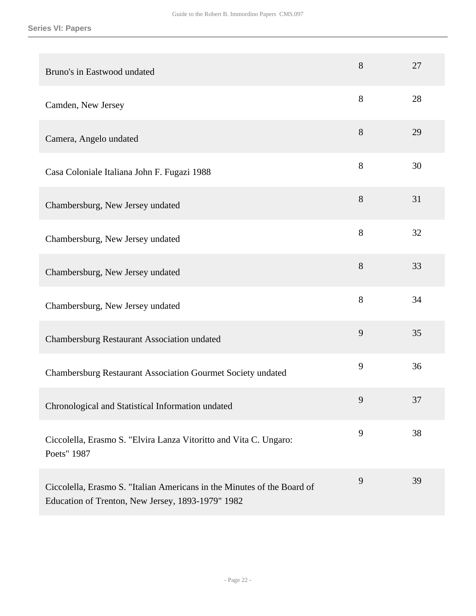| Bruno's in Eastwood undated                                                                                                  | 8 | 27 |
|------------------------------------------------------------------------------------------------------------------------------|---|----|
| Camden, New Jersey                                                                                                           | 8 | 28 |
| Camera, Angelo undated                                                                                                       | 8 | 29 |
| Casa Coloniale Italiana John F. Fugazi 1988                                                                                  | 8 | 30 |
| Chambersburg, New Jersey undated                                                                                             | 8 | 31 |
| Chambersburg, New Jersey undated                                                                                             | 8 | 32 |
| Chambersburg, New Jersey undated                                                                                             | 8 | 33 |
| Chambersburg, New Jersey undated                                                                                             | 8 | 34 |
| Chambersburg Restaurant Association undated                                                                                  | 9 | 35 |
| Chambersburg Restaurant Association Gourmet Society undated                                                                  | 9 | 36 |
| Chronological and Statistical Information undated                                                                            | 9 | 37 |
| Ciccolella, Erasmo S. "Elvira Lanza Vitoritto and Vita C. Ungaro:<br>Poets" 1987                                             | 9 | 38 |
| Ciccolella, Erasmo S. "Italian Americans in the Minutes of the Board of<br>Education of Trenton, New Jersey, 1893-1979" 1982 | 9 | 39 |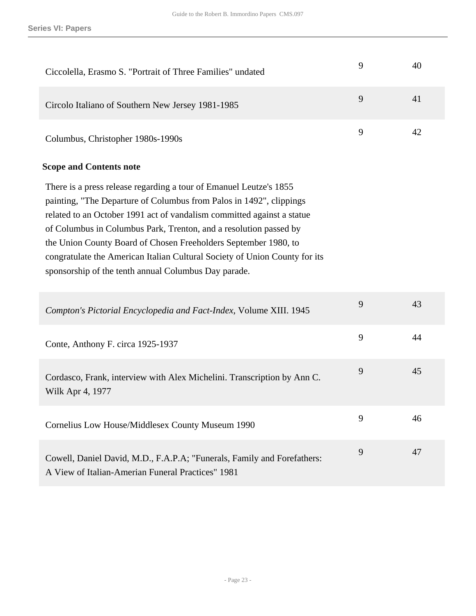| Ciccolella, Erasmo S. "Portrait of Three Families" undated                                                                                                                                                                                                                                                                                                                                                                                                                                        | 9 | 40 |
|---------------------------------------------------------------------------------------------------------------------------------------------------------------------------------------------------------------------------------------------------------------------------------------------------------------------------------------------------------------------------------------------------------------------------------------------------------------------------------------------------|---|----|
| Circolo Italiano of Southern New Jersey 1981-1985                                                                                                                                                                                                                                                                                                                                                                                                                                                 | 9 | 41 |
| Columbus, Christopher 1980s-1990s                                                                                                                                                                                                                                                                                                                                                                                                                                                                 | 9 | 42 |
| <b>Scope and Contents note</b>                                                                                                                                                                                                                                                                                                                                                                                                                                                                    |   |    |
| There is a press release regarding a tour of Emanuel Leutze's 1855<br>painting, "The Departure of Columbus from Palos in 1492", clippings<br>related to an October 1991 act of vandalism committed against a statue<br>of Columbus in Columbus Park, Trenton, and a resolution passed by<br>the Union County Board of Chosen Freeholders September 1980, to<br>congratulate the American Italian Cultural Society of Union County for its<br>sponsorship of the tenth annual Columbus Day parade. |   |    |
| Compton's Pictorial Encyclopedia and Fact-Index, Volume XIII. 1945                                                                                                                                                                                                                                                                                                                                                                                                                                | 9 | 43 |
| Conte, Anthony F. circa 1925-1937                                                                                                                                                                                                                                                                                                                                                                                                                                                                 | 9 | 44 |
| Cordasco, Frank, interview with Alex Michelini. Transcription by Ann C.<br>Wilk Apr 4, 1977                                                                                                                                                                                                                                                                                                                                                                                                       | 9 | 45 |
| Cornelius Low House/Middlesex County Museum 1990                                                                                                                                                                                                                                                                                                                                                                                                                                                  | 9 | 46 |
| Cowell, Daniel David, M.D., F.A.P.A; "Funerals, Family and Forefathers:<br>A View of Italian-Amerian Funeral Practices" 1981                                                                                                                                                                                                                                                                                                                                                                      | 9 | 47 |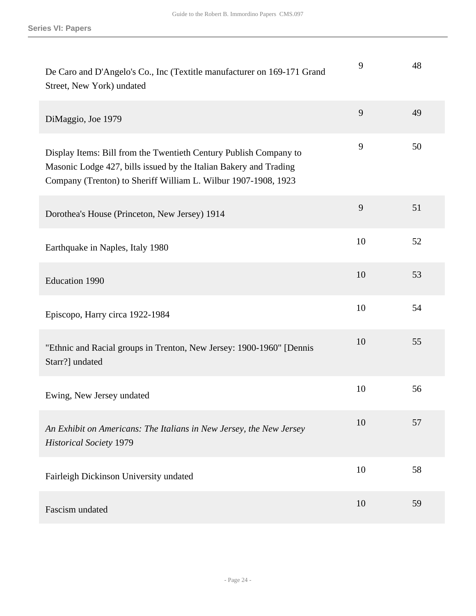| De Caro and D'Angelo's Co., Inc (Textitle manufacturer on 169-171 Grand<br>Street, New York) undated                                                                                                     | 9  | 48 |
|----------------------------------------------------------------------------------------------------------------------------------------------------------------------------------------------------------|----|----|
| DiMaggio, Joe 1979                                                                                                                                                                                       | 9  | 49 |
| Display Items: Bill from the Twentieth Century Publish Company to<br>Masonic Lodge 427, bills issued by the Italian Bakery and Trading<br>Company (Trenton) to Sheriff William L. Wilbur 1907-1908, 1923 | 9  | 50 |
| Dorothea's House (Princeton, New Jersey) 1914                                                                                                                                                            | 9  | 51 |
| Earthquake in Naples, Italy 1980                                                                                                                                                                         | 10 | 52 |
| <b>Education 1990</b>                                                                                                                                                                                    | 10 | 53 |
| Episcopo, Harry circa 1922-1984                                                                                                                                                                          | 10 | 54 |
| "Ethnic and Racial groups in Trenton, New Jersey: 1900-1960" [Dennis<br>Starr?] undated                                                                                                                  | 10 | 55 |
| Ewing, New Jersey undated                                                                                                                                                                                | 10 | 56 |
| An Exhibit on Americans: The Italians in New Jersey, the New Jersey<br><b>Historical Society 1979</b>                                                                                                    | 10 | 57 |
| Fairleigh Dickinson University undated                                                                                                                                                                   | 10 | 58 |
| Fascism undated                                                                                                                                                                                          | 10 | 59 |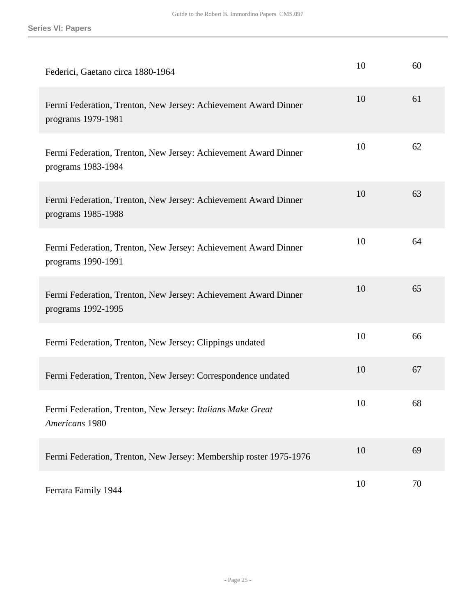| Federici, Gaetano circa 1880-1964                                                     | 10 | 60 |
|---------------------------------------------------------------------------------------|----|----|
| Fermi Federation, Trenton, New Jersey: Achievement Award Dinner<br>programs 1979-1981 | 10 | 61 |
| Fermi Federation, Trenton, New Jersey: Achievement Award Dinner<br>programs 1983-1984 | 10 | 62 |
| Fermi Federation, Trenton, New Jersey: Achievement Award Dinner<br>programs 1985-1988 | 10 | 63 |
| Fermi Federation, Trenton, New Jersey: Achievement Award Dinner<br>programs 1990-1991 | 10 | 64 |
| Fermi Federation, Trenton, New Jersey: Achievement Award Dinner<br>programs 1992-1995 | 10 | 65 |
| Fermi Federation, Trenton, New Jersey: Clippings undated                              | 10 | 66 |
| Fermi Federation, Trenton, New Jersey: Correspondence undated                         | 10 | 67 |
| Fermi Federation, Trenton, New Jersey: Italians Make Great<br>Americans 1980          | 10 | 68 |
| Fermi Federation, Trenton, New Jersey: Membership roster 1975-1976                    | 10 | 69 |
| Ferrara Family 1944                                                                   | 10 | 70 |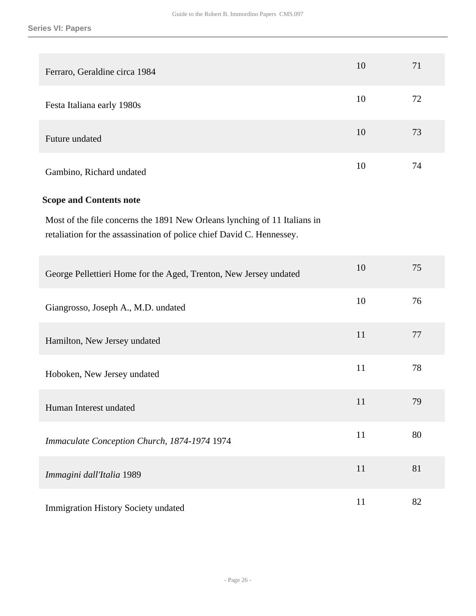| Ferraro, Geraldine circa 1984                                                                                                                      | 10 | 71 |
|----------------------------------------------------------------------------------------------------------------------------------------------------|----|----|
| Festa Italiana early 1980s                                                                                                                         | 10 | 72 |
| Future undated                                                                                                                                     | 10 | 73 |
| Gambino, Richard undated                                                                                                                           | 10 | 74 |
| <b>Scope and Contents note</b>                                                                                                                     |    |    |
| Most of the file concerns the 1891 New Orleans lynching of 11 Italians in<br>retaliation for the assassination of police chief David C. Hennessey. |    |    |
| George Pellettieri Home for the Aged, Trenton, New Jersey undated                                                                                  | 10 | 75 |
| Giangrosso, Joseph A., M.D. undated                                                                                                                | 10 | 76 |
| Hamilton, New Jersey undated                                                                                                                       | 11 | 77 |
| Hoboken, New Jersey undated                                                                                                                        | 11 | 78 |
| Human Interest undated                                                                                                                             | 11 | 79 |
| Immaculate Conception Church, 1874-1974 1974                                                                                                       | 11 | 80 |
| Immagini dall'Italia 1989                                                                                                                          | 11 | 81 |
| Immigration History Society undated                                                                                                                | 11 | 82 |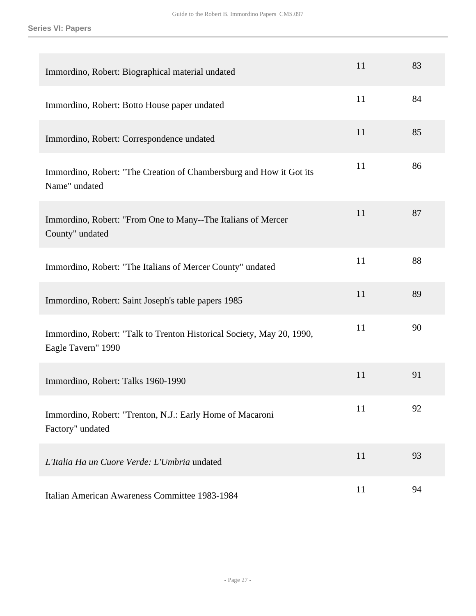| Immordino, Robert: Biographical material undated                                            | 11 | 83 |
|---------------------------------------------------------------------------------------------|----|----|
| Immordino, Robert: Botto House paper undated                                                | 11 | 84 |
| Immordino, Robert: Correspondence undated                                                   | 11 | 85 |
| Immordino, Robert: "The Creation of Chambersburg and How it Got its<br>Name" undated        | 11 | 86 |
| Immordino, Robert: "From One to Many--The Italians of Mercer<br>County" undated             | 11 | 87 |
| Immordino, Robert: "The Italians of Mercer County" undated                                  | 11 | 88 |
| Immordino, Robert: Saint Joseph's table papers 1985                                         | 11 | 89 |
| Immordino, Robert: "Talk to Trenton Historical Society, May 20, 1990,<br>Eagle Tavern" 1990 | 11 | 90 |
| Immordino, Robert: Talks 1960-1990                                                          | 11 | 91 |
| Immordino, Robert: "Trenton, N.J.: Early Home of Macaroni<br>Factory" undated               | 11 | 92 |
| L'Italia Ha un Cuore Verde: L'Umbria undated                                                | 11 | 93 |
| Italian American Awareness Committee 1983-1984                                              | 11 | 94 |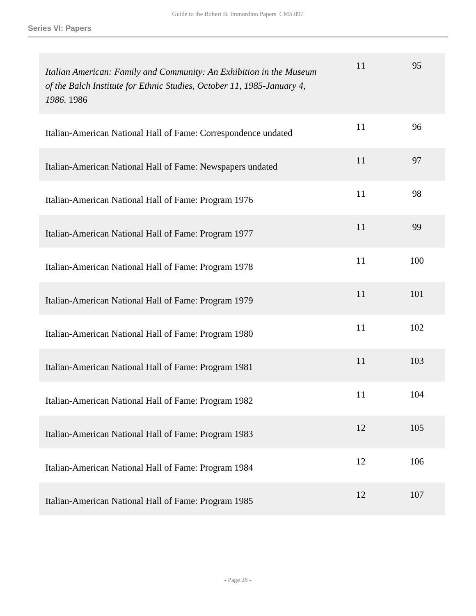| Italian American: Family and Community: An Exhibition in the Museum<br>of the Balch Institute for Ethnic Studies, October 11, 1985-January 4,<br>1986. 1986 | 11 | 95  |
|-------------------------------------------------------------------------------------------------------------------------------------------------------------|----|-----|
| Italian-American National Hall of Fame: Correspondence undated                                                                                              | 11 | 96  |
| Italian-American National Hall of Fame: Newspapers undated                                                                                                  | 11 | 97  |
| Italian-American National Hall of Fame: Program 1976                                                                                                        | 11 | 98  |
| Italian-American National Hall of Fame: Program 1977                                                                                                        | 11 | 99  |
| Italian-American National Hall of Fame: Program 1978                                                                                                        | 11 | 100 |
| Italian-American National Hall of Fame: Program 1979                                                                                                        | 11 | 101 |
| Italian-American National Hall of Fame: Program 1980                                                                                                        | 11 | 102 |
| Italian-American National Hall of Fame: Program 1981                                                                                                        | 11 | 103 |
| Italian-American National Hall of Fame: Program 1982                                                                                                        | 11 | 104 |
| Italian-American National Hall of Fame: Program 1983                                                                                                        | 12 | 105 |
| Italian-American National Hall of Fame: Program 1984                                                                                                        | 12 | 106 |
| Italian-American National Hall of Fame: Program 1985                                                                                                        | 12 | 107 |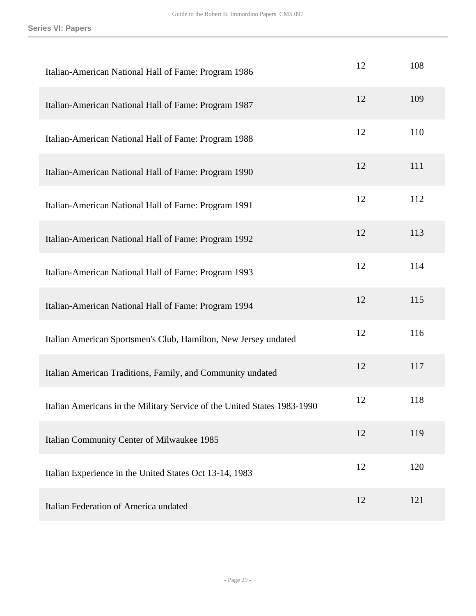| Italian-American National Hall of Fame: Program 1986                     | 12 | 108 |
|--------------------------------------------------------------------------|----|-----|
| Italian-American National Hall of Fame: Program 1987                     | 12 | 109 |
| Italian-American National Hall of Fame: Program 1988                     | 12 | 110 |
| Italian-American National Hall of Fame: Program 1990                     | 12 | 111 |
| Italian-American National Hall of Fame: Program 1991                     | 12 | 112 |
| Italian-American National Hall of Fame: Program 1992                     | 12 | 113 |
| Italian-American National Hall of Fame: Program 1993                     | 12 | 114 |
| Italian-American National Hall of Fame: Program 1994                     | 12 | 115 |
| Italian American Sportsmen's Club, Hamilton, New Jersey undated          | 12 | 116 |
| Italian American Traditions, Family, and Community undated               | 12 | 117 |
| Italian Americans in the Military Service of the United States 1983-1990 | 12 | 118 |
| Italian Community Center of Milwaukee 1985                               | 12 | 119 |
| Italian Experience in the United States Oct 13-14, 1983                  | 12 | 120 |
| Italian Federation of America undated                                    | 12 | 121 |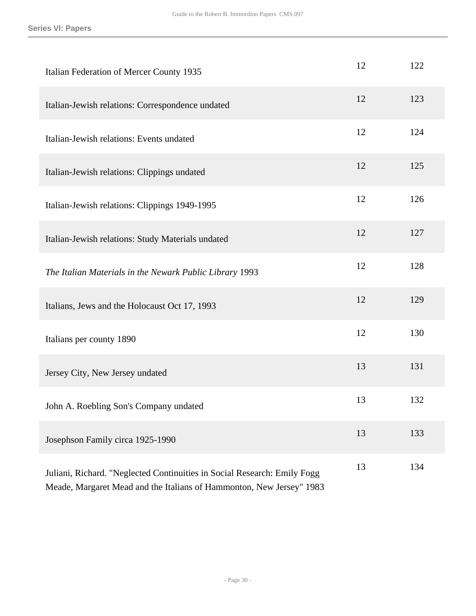| Italian Federation of Mercer County 1935                                                                                                         | 12 | 122 |
|--------------------------------------------------------------------------------------------------------------------------------------------------|----|-----|
| Italian-Jewish relations: Correspondence undated                                                                                                 | 12 | 123 |
| Italian-Jewish relations: Events undated                                                                                                         | 12 | 124 |
| Italian-Jewish relations: Clippings undated                                                                                                      | 12 | 125 |
| Italian-Jewish relations: Clippings 1949-1995                                                                                                    | 12 | 126 |
| Italian-Jewish relations: Study Materials undated                                                                                                | 12 | 127 |
| The Italian Materials in the Newark Public Library 1993                                                                                          | 12 | 128 |
| Italians, Jews and the Holocaust Oct 17, 1993                                                                                                    | 12 | 129 |
| Italians per county 1890                                                                                                                         | 12 | 130 |
| Jersey City, New Jersey undated                                                                                                                  | 13 | 131 |
| John A. Roebling Son's Company undated                                                                                                           | 13 | 132 |
| Josephson Family circa 1925-1990                                                                                                                 | 13 | 133 |
| Juliani, Richard. "Neglected Continuities in Social Research: Emily Fogg<br>Meade, Margaret Mead and the Italians of Hammonton, New Jersey" 1983 | 13 | 134 |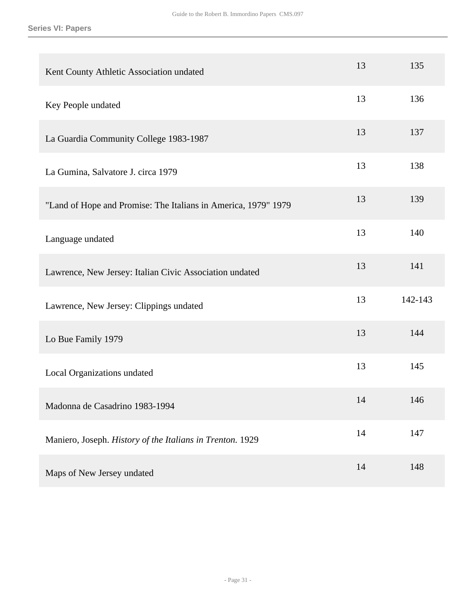| Kent County Athletic Association undated                       | 13 | 135     |
|----------------------------------------------------------------|----|---------|
| Key People undated                                             | 13 | 136     |
| La Guardia Community College 1983-1987                         | 13 | 137     |
| La Gumina, Salvatore J. circa 1979                             | 13 | 138     |
| "Land of Hope and Promise: The Italians in America, 1979" 1979 | 13 | 139     |
| Language undated                                               | 13 | 140     |
| Lawrence, New Jersey: Italian Civic Association undated        | 13 | 141     |
| Lawrence, New Jersey: Clippings undated                        | 13 | 142-143 |
| Lo Bue Family 1979                                             | 13 | 144     |
| Local Organizations undated                                    | 13 | 145     |
| Madonna de Casadrino 1983-1994                                 | 14 | 146     |
| Maniero, Joseph. History of the Italians in Trenton. 1929      | 14 | 147     |
| Maps of New Jersey undated                                     | 14 | 148     |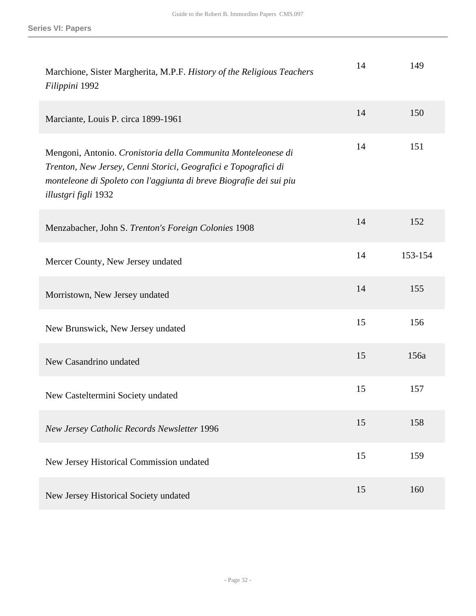| Marchione, Sister Margherita, M.P.F. History of the Religious Teachers<br>Filippini 1992                                                                                                                                        | 14 | 149     |
|---------------------------------------------------------------------------------------------------------------------------------------------------------------------------------------------------------------------------------|----|---------|
| Marciante, Louis P. circa 1899-1961                                                                                                                                                                                             | 14 | 150     |
| Mengoni, Antonio. Cronistoria della Communita Monteleonese di<br>Trenton, New Jersey, Cenni Storici, Geografici e Topografici di<br>monteleone di Spoleto con l'aggiunta di breve Biografie dei sui piu<br>illustgri figli 1932 | 14 | 151     |
| Menzabacher, John S. Trenton's Foreign Colonies 1908                                                                                                                                                                            | 14 | 152     |
| Mercer County, New Jersey undated                                                                                                                                                                                               | 14 | 153-154 |
| Morristown, New Jersey undated                                                                                                                                                                                                  | 14 | 155     |
| New Brunswick, New Jersey undated                                                                                                                                                                                               | 15 | 156     |
| New Casandrino undated                                                                                                                                                                                                          | 15 | 156a    |
| New Casteltermini Society undated                                                                                                                                                                                               | 15 | 157     |
| New Jersey Catholic Records Newsletter 1996                                                                                                                                                                                     | 15 | 158     |
| New Jersey Historical Commission undated                                                                                                                                                                                        | 15 | 159     |
| New Jersey Historical Society undated                                                                                                                                                                                           | 15 | 160     |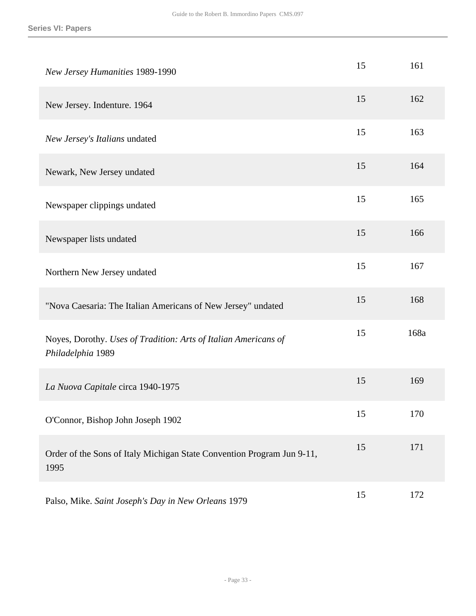| New Jersey Humanities 1989-1990                                                      | 15 | 161  |
|--------------------------------------------------------------------------------------|----|------|
| New Jersey. Indenture. 1964                                                          | 15 | 162  |
| New Jersey's Italians undated                                                        | 15 | 163  |
| Newark, New Jersey undated                                                           | 15 | 164  |
| Newspaper clippings undated                                                          | 15 | 165  |
| Newspaper lists undated                                                              | 15 | 166  |
| Northern New Jersey undated                                                          | 15 | 167  |
| "Nova Caesaria: The Italian Americans of New Jersey" undated                         | 15 | 168  |
| Noyes, Dorothy. Uses of Tradition: Arts of Italian Americans of<br>Philadelphia 1989 | 15 | 168a |
| La Nuova Capitale circa 1940-1975                                                    | 15 | 169  |
| O'Connor, Bishop John Joseph 1902                                                    | 15 | 170  |
| Order of the Sons of Italy Michigan State Convention Program Jun 9-11,<br>1995       | 15 | 171  |
| Palso, Mike. Saint Joseph's Day in New Orleans 1979                                  | 15 | 172  |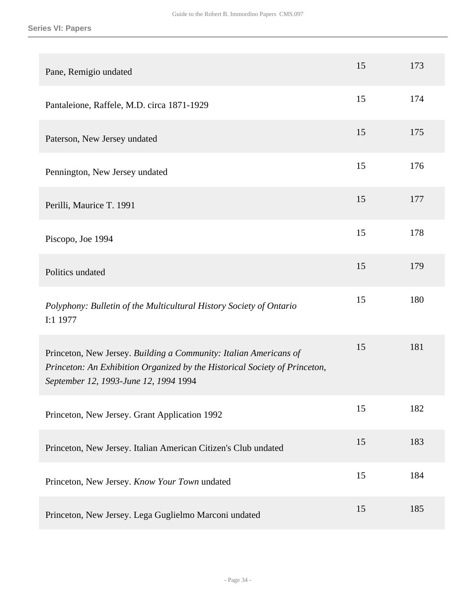| Pane, Remigio undated                                                                                                                                                                    | 15 | 173 |
|------------------------------------------------------------------------------------------------------------------------------------------------------------------------------------------|----|-----|
| Pantaleione, Raffele, M.D. circa 1871-1929                                                                                                                                               | 15 | 174 |
| Paterson, New Jersey undated                                                                                                                                                             | 15 | 175 |
| Pennington, New Jersey undated                                                                                                                                                           | 15 | 176 |
| Perilli, Maurice T. 1991                                                                                                                                                                 | 15 | 177 |
| Piscopo, Joe 1994                                                                                                                                                                        | 15 | 178 |
| Politics undated                                                                                                                                                                         | 15 | 179 |
| Polyphony: Bulletin of the Multicultural History Society of Ontario<br>I:1 1977                                                                                                          | 15 | 180 |
| Princeton, New Jersey. Building a Community: Italian Americans of<br>Princeton: An Exhibition Organized by the Historical Society of Princeton,<br>September 12, 1993-June 12, 1994 1994 | 15 | 181 |
| Princeton, New Jersey. Grant Application 1992                                                                                                                                            | 15 | 182 |
| Princeton, New Jersey. Italian American Citizen's Club undated                                                                                                                           | 15 | 183 |
| Princeton, New Jersey. Know Your Town undated                                                                                                                                            | 15 | 184 |
| Princeton, New Jersey. Lega Guglielmo Marconi undated                                                                                                                                    | 15 | 185 |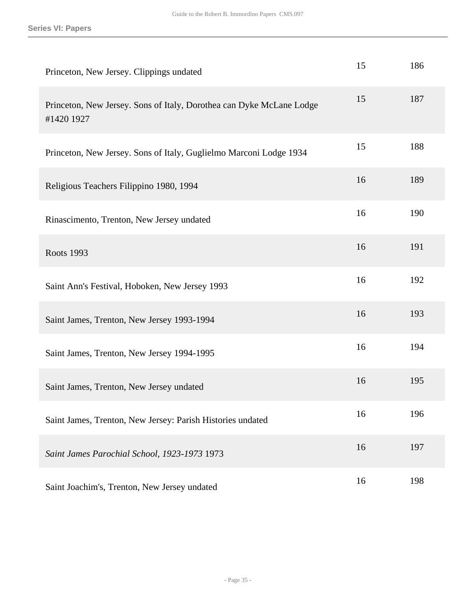| Princeton, New Jersey. Clippings undated                                           | 15 | 186 |
|------------------------------------------------------------------------------------|----|-----|
| Princeton, New Jersey. Sons of Italy, Dorothea can Dyke McLane Lodge<br>#1420 1927 | 15 | 187 |
| Princeton, New Jersey. Sons of Italy, Guglielmo Marconi Lodge 1934                 | 15 | 188 |
| Religious Teachers Filippino 1980, 1994                                            | 16 | 189 |
| Rinascimento, Trenton, New Jersey undated                                          | 16 | 190 |
| <b>Roots 1993</b>                                                                  | 16 | 191 |
| Saint Ann's Festival, Hoboken, New Jersey 1993                                     | 16 | 192 |
| Saint James, Trenton, New Jersey 1993-1994                                         | 16 | 193 |
| Saint James, Trenton, New Jersey 1994-1995                                         | 16 | 194 |
| Saint James, Trenton, New Jersey undated                                           | 16 | 195 |
| Saint James, Trenton, New Jersey: Parish Histories undated                         | 16 | 196 |
| Saint James Parochial School, 1923-1973 1973                                       | 16 | 197 |
| Saint Joachim's, Trenton, New Jersey undated                                       | 16 | 198 |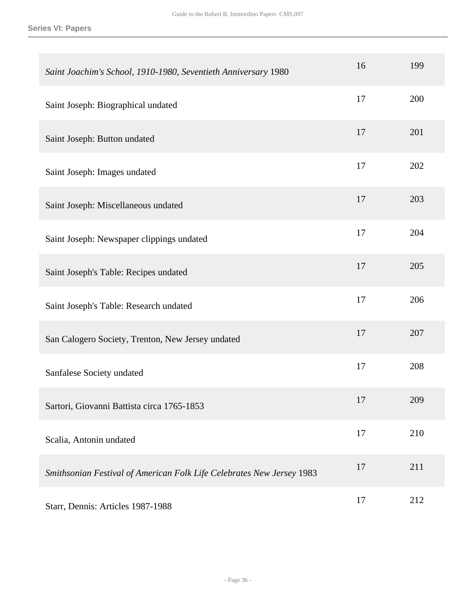**Series VI: Papers**

| Saint Joachim's School, 1910-1980, Seventieth Anniversary 1980        | 16 | 199 |
|-----------------------------------------------------------------------|----|-----|
| Saint Joseph: Biographical undated                                    | 17 | 200 |
| Saint Joseph: Button undated                                          | 17 | 201 |
| Saint Joseph: Images undated                                          | 17 | 202 |
| Saint Joseph: Miscellaneous undated                                   | 17 | 203 |
| Saint Joseph: Newspaper clippings undated                             | 17 | 204 |
| Saint Joseph's Table: Recipes undated                                 | 17 | 205 |
| Saint Joseph's Table: Research undated                                | 17 | 206 |
| San Calogero Society, Trenton, New Jersey undated                     | 17 | 207 |
| Sanfalese Society undated                                             | 17 | 208 |
| Sartori, Giovanni Battista circa 1765-1853                            | 17 | 209 |
| Scalia, Antonin undated                                               | 17 | 210 |
| Smithsonian Festival of American Folk Life Celebrates New Jersey 1983 | 17 | 211 |
| Starr, Dennis: Articles 1987-1988                                     | 17 | 212 |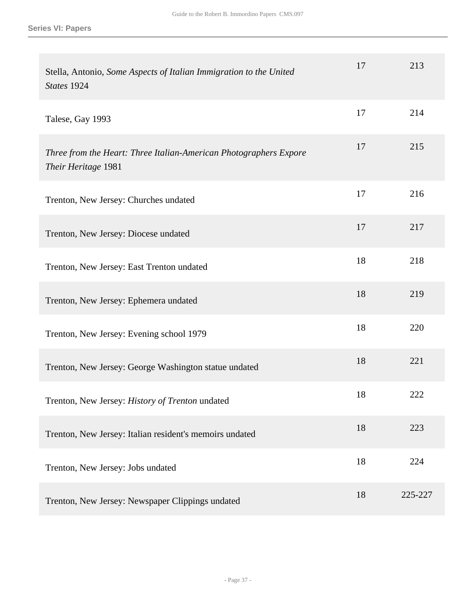| Stella, Antonio, Some Aspects of Italian Immigration to the United<br>States 1924        | 17 | 213     |
|------------------------------------------------------------------------------------------|----|---------|
| Talese, Gay 1993                                                                         | 17 | 214     |
| Three from the Heart: Three Italian-American Photographers Expore<br>Their Heritage 1981 | 17 | 215     |
| Trenton, New Jersey: Churches undated                                                    | 17 | 216     |
| Trenton, New Jersey: Diocese undated                                                     | 17 | 217     |
| Trenton, New Jersey: East Trenton undated                                                | 18 | 218     |
| Trenton, New Jersey: Ephemera undated                                                    | 18 | 219     |
| Trenton, New Jersey: Evening school 1979                                                 | 18 | 220     |
| Trenton, New Jersey: George Washington statue undated                                    | 18 | 221     |
| Trenton, New Jersey: History of Trenton undated                                          | 18 | 222     |
| Trenton, New Jersey: Italian resident's memoirs undated                                  | 18 | 223     |
| Trenton, New Jersey: Jobs undated                                                        | 18 | 224     |
| Trenton, New Jersey: Newspaper Clippings undated                                         | 18 | 225-227 |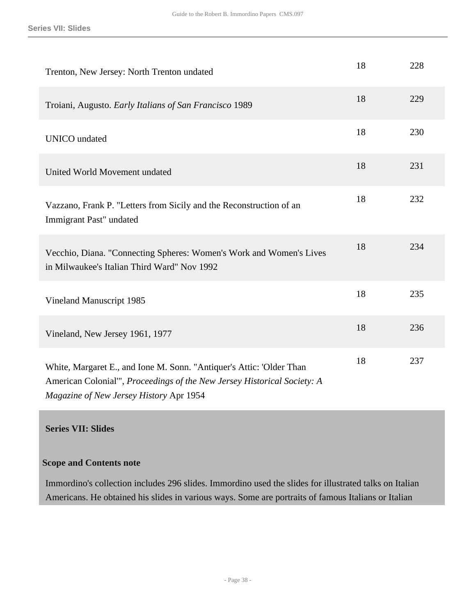| Trenton, New Jersey: North Trenton undated                                                                                                                                                  | 18 | 228 |
|---------------------------------------------------------------------------------------------------------------------------------------------------------------------------------------------|----|-----|
| Troiani, Augusto. Early Italians of San Francisco 1989                                                                                                                                      | 18 | 229 |
| <b>UNICO</b> undated                                                                                                                                                                        | 18 | 230 |
| United World Movement undated                                                                                                                                                               | 18 | 231 |
| Vazzano, Frank P. "Letters from Sicily and the Reconstruction of an<br>Immigrant Past" undated                                                                                              | 18 | 232 |
| Vecchio, Diana. "Connecting Spheres: Women's Work and Women's Lives<br>in Milwaukee's Italian Third Ward" Nov 1992                                                                          | 18 | 234 |
| Vineland Manuscript 1985                                                                                                                                                                    | 18 | 235 |
| Vineland, New Jersey 1961, 1977                                                                                                                                                             | 18 | 236 |
| White, Margaret E., and Ione M. Sonn. "Antiquer's Attic: 'Older Than<br>American Colonial"', Proceedings of the New Jersey Historical Society: A<br>Magazine of New Jersey History Apr 1954 | 18 | 237 |

### <span id="page-37-0"></span>**Scope and Contents note**

Immordino's collection includes 296 slides. Immordino used the slides for illustrated talks on Italian Americans. He obtained his slides in various ways. Some are portraits of famous Italians or Italian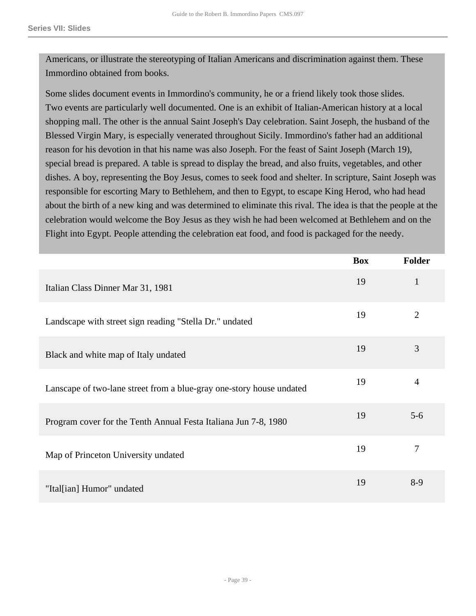Americans, or illustrate the stereotyping of Italian Americans and discrimination against them. These Immordino obtained from books.

Some slides document events in Immordino's community, he or a friend likely took those slides. Two events are particularly well documented. One is an exhibit of Italian-American history at a local shopping mall. The other is the annual Saint Joseph's Day celebration. Saint Joseph, the husband of the Blessed Virgin Mary, is especially venerated throughout Sicily. Immordino's father had an additional reason for his devotion in that his name was also Joseph. For the feast of Saint Joseph (March 19), special bread is prepared. A table is spread to display the bread, and also fruits, vegetables, and other dishes. A boy, representing the Boy Jesus, comes to seek food and shelter. In scripture, Saint Joseph was responsible for escorting Mary to Bethlehem, and then to Egypt, to escape King Herod, who had head about the birth of a new king and was determined to eliminate this rival. The idea is that the people at the celebration would welcome the Boy Jesus as they wish he had been welcomed at Bethlehem and on the Flight into Egypt. People attending the celebration eat food, and food is packaged for the needy.

|                                                                      | <b>Box</b> | <b>Folder</b>  |
|----------------------------------------------------------------------|------------|----------------|
| Italian Class Dinner Mar 31, 1981                                    | 19         | $\mathbf{1}$   |
| Landscape with street sign reading "Stella Dr." undated              | 19         | $\overline{2}$ |
| Black and white map of Italy undated                                 | 19         | 3              |
| Lanscape of two-lane street from a blue-gray one-story house undated | 19         | $\overline{4}$ |
| Program cover for the Tenth Annual Festa Italiana Jun 7-8, 1980      | 19         | $5 - 6$        |
| Map of Princeton University undated                                  | 19         | 7              |
| "Ital[ian] Humor" undated                                            | 19         | $8-9$          |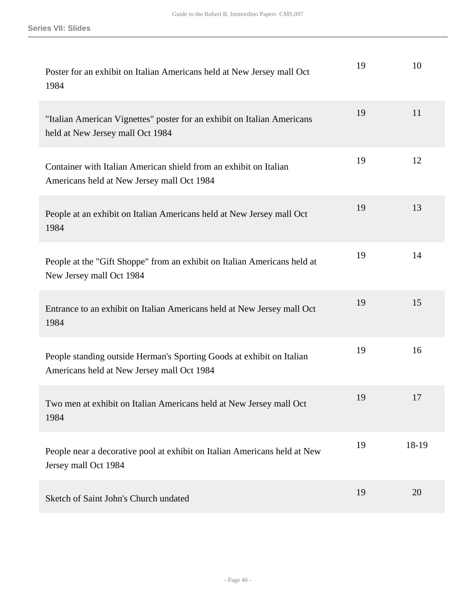| Poster for an exhibit on Italian Americans held at New Jersey mall Oct<br>1984                                      | 19 | 10    |
|---------------------------------------------------------------------------------------------------------------------|----|-------|
| "Italian American Vignettes" poster for an exhibit on Italian Americans<br>held at New Jersey mall Oct 1984         | 19 | 11    |
| Container with Italian American shield from an exhibit on Italian<br>Americans held at New Jersey mall Oct 1984     | 19 | 12    |
| People at an exhibit on Italian Americans held at New Jersey mall Oct<br>1984                                       | 19 | 13    |
| People at the "Gift Shoppe" from an exhibit on Italian Americans held at<br>New Jersey mall Oct 1984                | 19 | 14    |
| Entrance to an exhibit on Italian Americans held at New Jersey mall Oct<br>1984                                     | 19 | 15    |
| People standing outside Herman's Sporting Goods at exhibit on Italian<br>Americans held at New Jersey mall Oct 1984 | 19 | 16    |
| Two men at exhibit on Italian Americans held at New Jersey mall Oct<br>1984                                         | 19 | 17    |
| People near a decorative pool at exhibit on Italian Americans held at New<br>Jersey mall Oct 1984                   | 19 | 18-19 |
| Sketch of Saint John's Church undated                                                                               | 19 | 20    |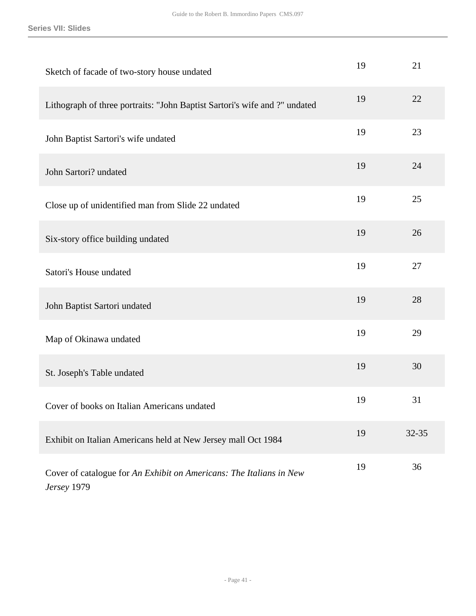| Sketch of facade of two-story house undated                                        | 19 | 21    |
|------------------------------------------------------------------------------------|----|-------|
| Lithograph of three portraits: "John Baptist Sartori's wife and ?" undated         | 19 | 22    |
| John Baptist Sartori's wife undated                                                | 19 | 23    |
| John Sartori? undated                                                              | 19 | 24    |
| Close up of unidentified man from Slide 22 undated                                 | 19 | 25    |
| Six-story office building undated                                                  | 19 | 26    |
| Satori's House undated                                                             | 19 | 27    |
| John Baptist Sartori undated                                                       | 19 | 28    |
| Map of Okinawa undated                                                             | 19 | 29    |
| St. Joseph's Table undated                                                         | 19 | 30    |
| Cover of books on Italian Americans undated                                        | 19 | 31    |
| Exhibit on Italian Americans held at New Jersey mall Oct 1984                      | 19 | 32-35 |
| Cover of catalogue for An Exhibit on Americans: The Italians in New<br>Jersey 1979 | 19 | 36    |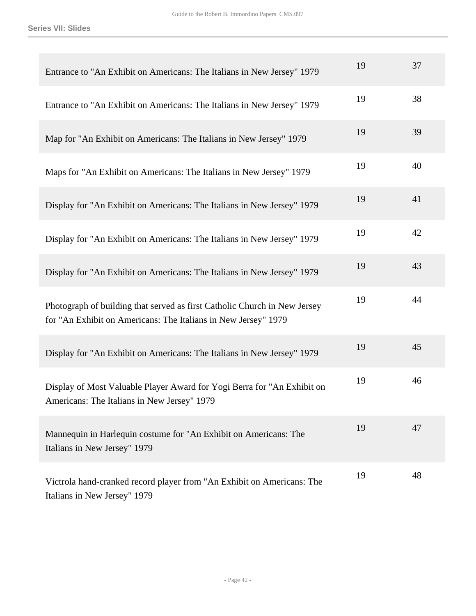| Entrance to "An Exhibit on Americans: The Italians in New Jersey" 1979                                                                      | 19 | 37 |
|---------------------------------------------------------------------------------------------------------------------------------------------|----|----|
| Entrance to "An Exhibit on Americans: The Italians in New Jersey" 1979                                                                      | 19 | 38 |
| Map for "An Exhibit on Americans: The Italians in New Jersey" 1979                                                                          | 19 | 39 |
| Maps for "An Exhibit on Americans: The Italians in New Jersey" 1979                                                                         | 19 | 40 |
| Display for "An Exhibit on Americans: The Italians in New Jersey" 1979                                                                      | 19 | 41 |
| Display for "An Exhibit on Americans: The Italians in New Jersey" 1979                                                                      | 19 | 42 |
| Display for "An Exhibit on Americans: The Italians in New Jersey" 1979                                                                      | 19 | 43 |
| Photograph of building that served as first Catholic Church in New Jersey<br>for "An Exhibit on Americans: The Italians in New Jersey" 1979 | 19 | 44 |
| Display for "An Exhibit on Americans: The Italians in New Jersey" 1979                                                                      | 19 | 45 |
| Display of Most Valuable Player Award for Yogi Berra for "An Exhibit on<br>Americans: The Italians in New Jersey" 1979                      | 19 | 46 |
| Mannequin in Harlequin costume for "An Exhibit on Americans: The<br>Italians in New Jersey" 1979                                            | 19 | 47 |
| Victrola hand-cranked record player from "An Exhibit on Americans: The<br>Italians in New Jersey" 1979                                      | 19 | 48 |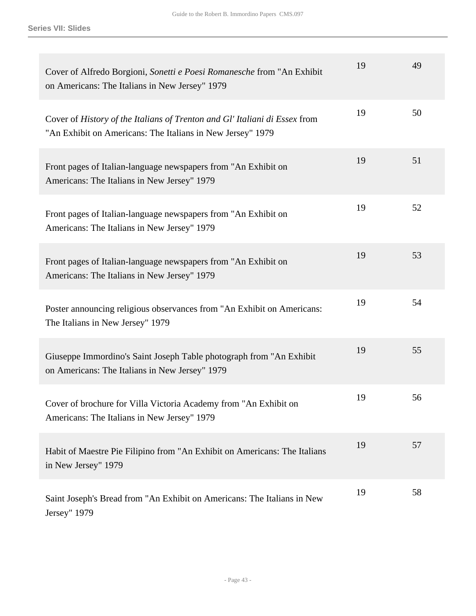| Cover of Alfredo Borgioni, Sonetti e Poesi Romanesche from "An Exhibit<br>on Americans: The Italians in New Jersey" 1979                 | 19 | 49 |
|------------------------------------------------------------------------------------------------------------------------------------------|----|----|
| Cover of History of the Italians of Trenton and Gl' Italiani di Essex from<br>"An Exhibit on Americans: The Italians in New Jersey" 1979 | 19 | 50 |
| Front pages of Italian-language newspapers from "An Exhibit on<br>Americans: The Italians in New Jersey" 1979                            | 19 | 51 |
| Front pages of Italian-language newspapers from "An Exhibit on<br>Americans: The Italians in New Jersey" 1979                            | 19 | 52 |
| Front pages of Italian-language newspapers from "An Exhibit on<br>Americans: The Italians in New Jersey" 1979                            | 19 | 53 |
| Poster announcing religious observances from "An Exhibit on Americans:<br>The Italians in New Jersey" 1979                               | 19 | 54 |
| Giuseppe Immordino's Saint Joseph Table photograph from "An Exhibit<br>on Americans: The Italians in New Jersey" 1979                    | 19 | 55 |
| Cover of brochure for Villa Victoria Academy from "An Exhibit on<br>Americans: The Italians in New Jersey" 1979                          | 19 | 56 |
| Habit of Maestre Pie Filipino from "An Exhibit on Americans: The Italians<br>in New Jersey" 1979                                         | 19 | 57 |
| Saint Joseph's Bread from "An Exhibit on Americans: The Italians in New<br>Jersey" 1979                                                  | 19 | 58 |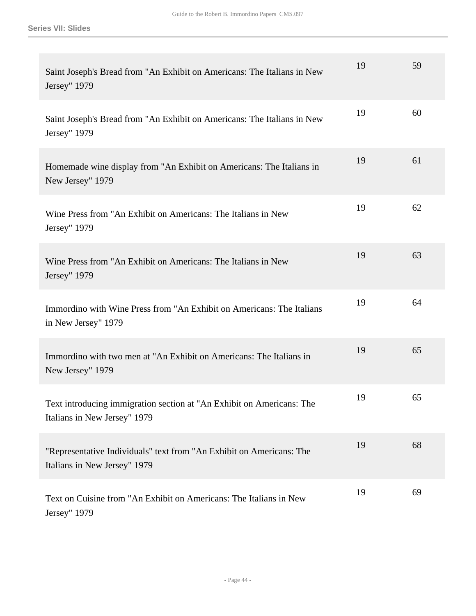| Saint Joseph's Bread from "An Exhibit on Americans: The Italians in New<br>Jersey" 1979               | 19 | 59 |
|-------------------------------------------------------------------------------------------------------|----|----|
| Saint Joseph's Bread from "An Exhibit on Americans: The Italians in New<br>Jersey" 1979               | 19 | 60 |
| Homemade wine display from "An Exhibit on Americans: The Italians in<br>New Jersey" 1979              | 19 | 61 |
| Wine Press from "An Exhibit on Americans: The Italians in New<br>Jersey" 1979                         | 19 | 62 |
| Wine Press from "An Exhibit on Americans: The Italians in New<br>Jersey" 1979                         | 19 | 63 |
| Immordino with Wine Press from "An Exhibit on Americans: The Italians<br>in New Jersey" 1979          | 19 | 64 |
| Immordino with two men at "An Exhibit on Americans: The Italians in<br>New Jersey" 1979               | 19 | 65 |
| Text introducing immigration section at "An Exhibit on Americans: The<br>Italians in New Jersey" 1979 | 19 | 65 |
| "Representative Individuals" text from "An Exhibit on Americans: The<br>Italians in New Jersey" 1979  | 19 | 68 |
| Text on Cuisine from "An Exhibit on Americans: The Italians in New<br>Jersey" 1979                    | 19 | 69 |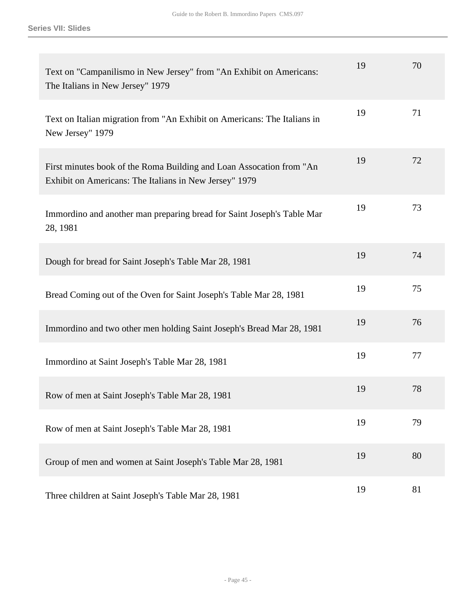| Text on "Campanilismo in New Jersey" from "An Exhibit on Americans:<br>The Italians in New Jersey" 1979                        | 19 | 70 |
|--------------------------------------------------------------------------------------------------------------------------------|----|----|
| Text on Italian migration from "An Exhibit on Americans: The Italians in<br>New Jersey" 1979                                   | 19 | 71 |
| First minutes book of the Roma Building and Loan Assocation from "An<br>Exhibit on Americans: The Italians in New Jersey" 1979 | 19 | 72 |
| Immordino and another man preparing bread for Saint Joseph's Table Mar<br>28, 1981                                             | 19 | 73 |
| Dough for bread for Saint Joseph's Table Mar 28, 1981                                                                          | 19 | 74 |
| Bread Coming out of the Oven for Saint Joseph's Table Mar 28, 1981                                                             | 19 | 75 |
| Immordino and two other men holding Saint Joseph's Bread Mar 28, 1981                                                          | 19 | 76 |
| Immordino at Saint Joseph's Table Mar 28, 1981                                                                                 | 19 | 77 |
| Row of men at Saint Joseph's Table Mar 28, 1981                                                                                | 19 | 78 |
| Row of men at Saint Joseph's Table Mar 28, 1981                                                                                | 19 | 79 |
| Group of men and women at Saint Joseph's Table Mar 28, 1981                                                                    | 19 | 80 |
| Three children at Saint Joseph's Table Mar 28, 1981                                                                            | 19 | 81 |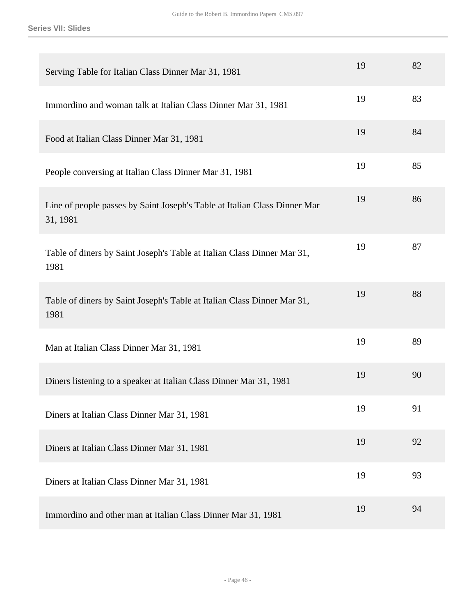| Serving Table for Italian Class Dinner Mar 31, 1981                                   | 19 | 82 |
|---------------------------------------------------------------------------------------|----|----|
| Immordino and woman talk at Italian Class Dinner Mar 31, 1981                         | 19 | 83 |
| Food at Italian Class Dinner Mar 31, 1981                                             | 19 | 84 |
| People conversing at Italian Class Dinner Mar 31, 1981                                | 19 | 85 |
| Line of people passes by Saint Joseph's Table at Italian Class Dinner Mar<br>31, 1981 | 19 | 86 |
| Table of diners by Saint Joseph's Table at Italian Class Dinner Mar 31,<br>1981       | 19 | 87 |
| Table of diners by Saint Joseph's Table at Italian Class Dinner Mar 31,<br>1981       | 19 | 88 |
| Man at Italian Class Dinner Mar 31, 1981                                              | 19 | 89 |
| Diners listening to a speaker at Italian Class Dinner Mar 31, 1981                    | 19 | 90 |
| Diners at Italian Class Dinner Mar 31, 1981                                           | 19 | 91 |
| Diners at Italian Class Dinner Mar 31, 1981                                           | 19 | 92 |
| Diners at Italian Class Dinner Mar 31, 1981                                           | 19 | 93 |
| Immordino and other man at Italian Class Dinner Mar 31, 1981                          | 19 | 94 |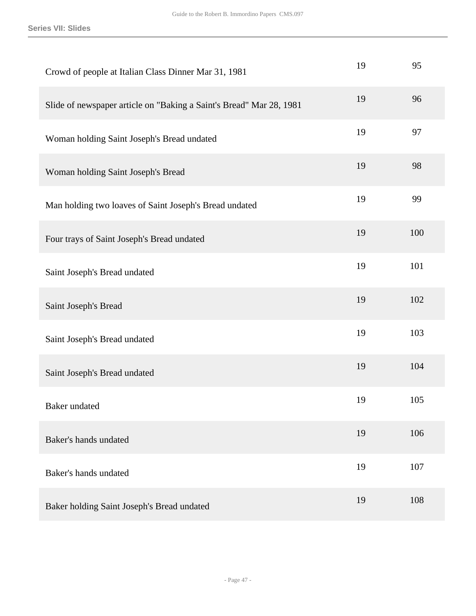| Crowd of people at Italian Class Dinner Mar 31, 1981                | 19 | 95  |
|---------------------------------------------------------------------|----|-----|
| Slide of newspaper article on "Baking a Saint's Bread" Mar 28, 1981 | 19 | 96  |
| Woman holding Saint Joseph's Bread undated                          | 19 | 97  |
| Woman holding Saint Joseph's Bread                                  | 19 | 98  |
| Man holding two loaves of Saint Joseph's Bread undated              | 19 | 99  |
| Four trays of Saint Joseph's Bread undated                          | 19 | 100 |
| Saint Joseph's Bread undated                                        | 19 | 101 |
| Saint Joseph's Bread                                                | 19 | 102 |
| Saint Joseph's Bread undated                                        | 19 | 103 |
| Saint Joseph's Bread undated                                        | 19 | 104 |
| Baker undated                                                       | 19 | 105 |
| Baker's hands undated                                               | 19 | 106 |
| Baker's hands undated                                               | 19 | 107 |
| Baker holding Saint Joseph's Bread undated                          | 19 | 108 |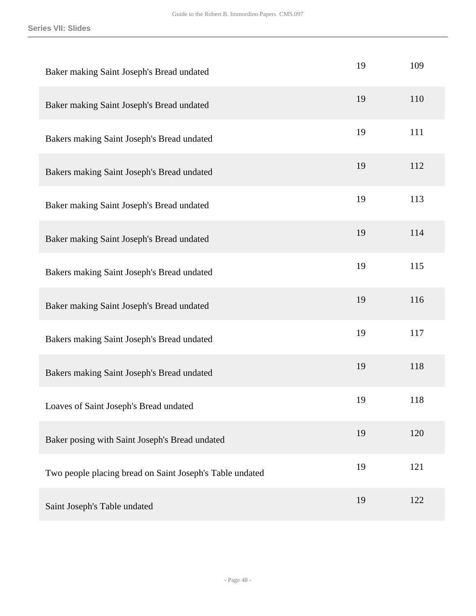| Baker making Saint Joseph's Bread undated                | 19 | 109 |
|----------------------------------------------------------|----|-----|
| Baker making Saint Joseph's Bread undated                | 19 | 110 |
| Bakers making Saint Joseph's Bread undated               | 19 | 111 |
| Bakers making Saint Joseph's Bread undated               | 19 | 112 |
| Baker making Saint Joseph's Bread undated                | 19 | 113 |
| Baker making Saint Joseph's Bread undated                | 19 | 114 |
| Bakers making Saint Joseph's Bread undated               | 19 | 115 |
| Baker making Saint Joseph's Bread undated                | 19 | 116 |
| Bakers making Saint Joseph's Bread undated               | 19 | 117 |
| Bakers making Saint Joseph's Bread undated               | 19 | 118 |
| Loaves of Saint Joseph's Bread undated                   | 19 | 118 |
| Baker posing with Saint Joseph's Bread undated           | 19 | 120 |
| Two people placing bread on Saint Joseph's Table undated | 19 | 121 |
| Saint Joseph's Table undated                             | 19 | 122 |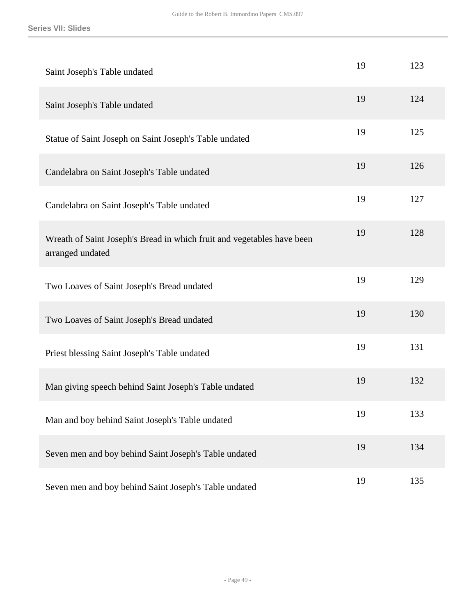| Saint Joseph's Table undated                                                               | 19 | 123 |
|--------------------------------------------------------------------------------------------|----|-----|
| Saint Joseph's Table undated                                                               | 19 | 124 |
| Statue of Saint Joseph on Saint Joseph's Table undated                                     | 19 | 125 |
| Candelabra on Saint Joseph's Table undated                                                 | 19 | 126 |
| Candelabra on Saint Joseph's Table undated                                                 | 19 | 127 |
| Wreath of Saint Joseph's Bread in which fruit and vegetables have been<br>arranged undated | 19 | 128 |
| Two Loaves of Saint Joseph's Bread undated                                                 | 19 | 129 |
| Two Loaves of Saint Joseph's Bread undated                                                 | 19 | 130 |
| Priest blessing Saint Joseph's Table undated                                               | 19 | 131 |
| Man giving speech behind Saint Joseph's Table undated                                      | 19 | 132 |
| Man and boy behind Saint Joseph's Table undated                                            | 19 | 133 |
| Seven men and boy behind Saint Joseph's Table undated                                      | 19 | 134 |
| Seven men and boy behind Saint Joseph's Table undated                                      | 19 | 135 |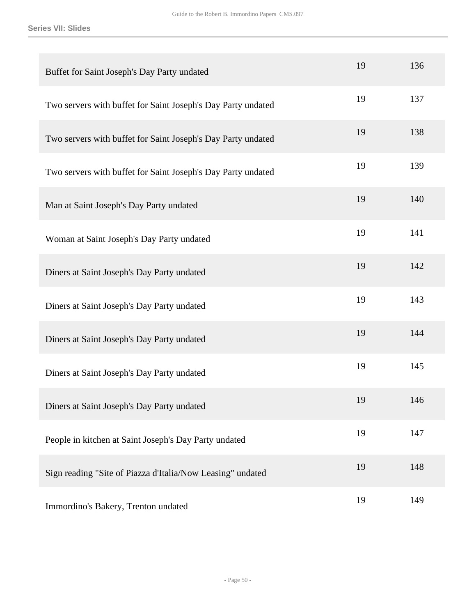| Buffet for Saint Joseph's Day Party undated                  | 19 | 136 |
|--------------------------------------------------------------|----|-----|
| Two servers with buffet for Saint Joseph's Day Party undated | 19 | 137 |
| Two servers with buffet for Saint Joseph's Day Party undated | 19 | 138 |
| Two servers with buffet for Saint Joseph's Day Party undated | 19 | 139 |
| Man at Saint Joseph's Day Party undated                      | 19 | 140 |
| Woman at Saint Joseph's Day Party undated                    | 19 | 141 |
| Diners at Saint Joseph's Day Party undated                   | 19 | 142 |
| Diners at Saint Joseph's Day Party undated                   | 19 | 143 |
| Diners at Saint Joseph's Day Party undated                   | 19 | 144 |
| Diners at Saint Joseph's Day Party undated                   | 19 | 145 |
| Diners at Saint Joseph's Day Party undated                   | 19 | 146 |
| People in kitchen at Saint Joseph's Day Party undated        | 19 | 147 |
| Sign reading "Site of Piazza d'Italia/Now Leasing" undated   | 19 | 148 |
| Immordino's Bakery, Trenton undated                          | 19 | 149 |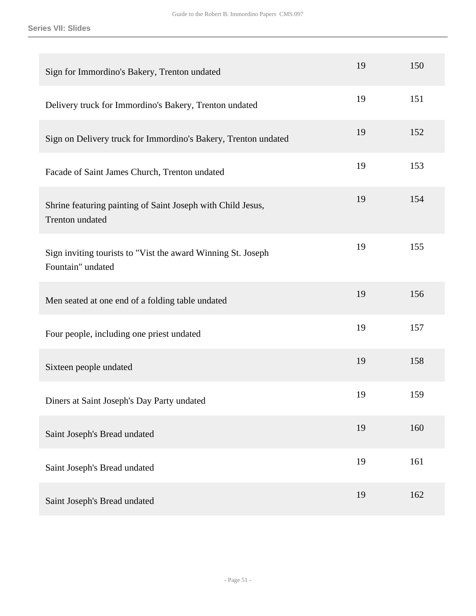| Sign for Immordino's Bakery, Trenton undated                                      | 19 | 150 |
|-----------------------------------------------------------------------------------|----|-----|
| Delivery truck for Immordino's Bakery, Trenton undated                            | 19 | 151 |
| Sign on Delivery truck for Immordino's Bakery, Trenton undated                    | 19 | 152 |
| Facade of Saint James Church, Trenton undated                                     | 19 | 153 |
| Shrine featuring painting of Saint Joseph with Child Jesus,<br>Trenton undated    | 19 | 154 |
| Sign inviting tourists to "Vist the award Winning St. Joseph<br>Fountain" undated | 19 | 155 |
| Men seated at one end of a folding table undated                                  | 19 | 156 |
| Four people, including one priest undated                                         | 19 | 157 |
| Sixteen people undated                                                            | 19 | 158 |
| Diners at Saint Joseph's Day Party undated                                        | 19 | 159 |
| Saint Joseph's Bread undated                                                      | 19 | 160 |
| Saint Joseph's Bread undated                                                      | 19 | 161 |
| Saint Joseph's Bread undated                                                      | 19 | 162 |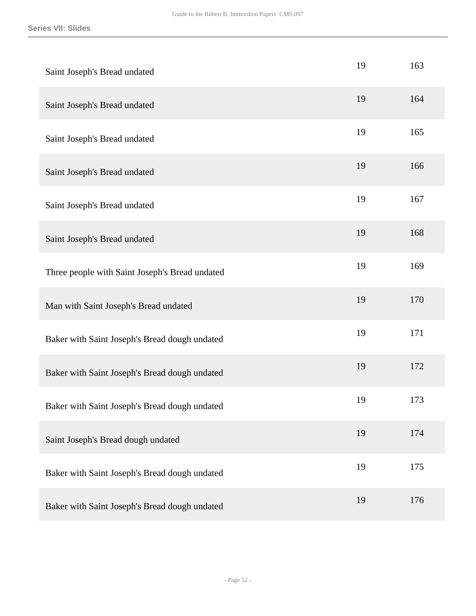| Saint Joseph's Bread undated                   | 19 | 163 |
|------------------------------------------------|----|-----|
| Saint Joseph's Bread undated                   | 19 | 164 |
| Saint Joseph's Bread undated                   | 19 | 165 |
| Saint Joseph's Bread undated                   | 19 | 166 |
| Saint Joseph's Bread undated                   | 19 | 167 |
| Saint Joseph's Bread undated                   | 19 | 168 |
| Three people with Saint Joseph's Bread undated | 19 | 169 |
| Man with Saint Joseph's Bread undated          | 19 | 170 |
| Baker with Saint Joseph's Bread dough undated  | 19 | 171 |
| Baker with Saint Joseph's Bread dough undated  | 19 | 172 |
| Baker with Saint Joseph's Bread dough undated  | 19 | 173 |
| Saint Joseph's Bread dough undated             | 19 | 174 |
| Baker with Saint Joseph's Bread dough undated  | 19 | 175 |
| Baker with Saint Joseph's Bread dough undated  | 19 | 176 |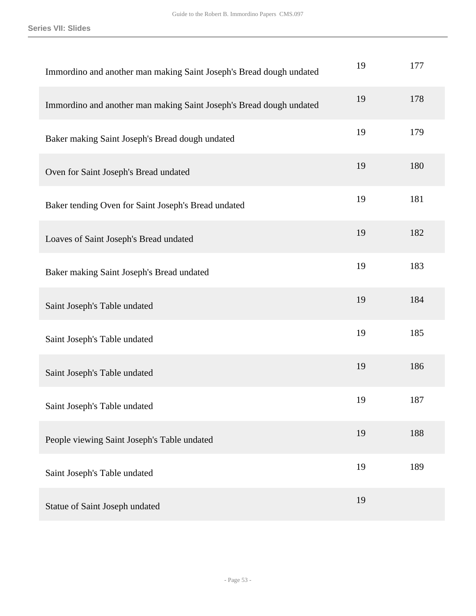| Immordino and another man making Saint Joseph's Bread dough undated | 19 | 177 |
|---------------------------------------------------------------------|----|-----|
| Immordino and another man making Saint Joseph's Bread dough undated | 19 | 178 |
| Baker making Saint Joseph's Bread dough undated                     | 19 | 179 |
| Oven for Saint Joseph's Bread undated                               | 19 | 180 |
| Baker tending Oven for Saint Joseph's Bread undated                 | 19 | 181 |
| Loaves of Saint Joseph's Bread undated                              | 19 | 182 |
| Baker making Saint Joseph's Bread undated                           | 19 | 183 |
| Saint Joseph's Table undated                                        | 19 | 184 |
| Saint Joseph's Table undated                                        | 19 | 185 |
| Saint Joseph's Table undated                                        | 19 | 186 |
| Saint Joseph's Table undated                                        | 19 | 187 |
| People viewing Saint Joseph's Table undated                         | 19 | 188 |
| Saint Joseph's Table undated                                        | 19 | 189 |
| Statue of Saint Joseph undated                                      | 19 |     |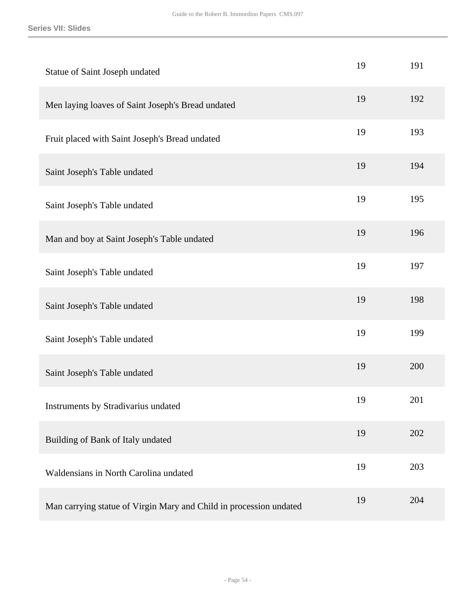| Statue of Saint Joseph undated                                     | 19 | 191 |
|--------------------------------------------------------------------|----|-----|
| Men laying loaves of Saint Joseph's Bread undated                  | 19 | 192 |
| Fruit placed with Saint Joseph's Bread undated                     | 19 | 193 |
| Saint Joseph's Table undated                                       | 19 | 194 |
| Saint Joseph's Table undated                                       | 19 | 195 |
| Man and boy at Saint Joseph's Table undated                        | 19 | 196 |
| Saint Joseph's Table undated                                       | 19 | 197 |
| Saint Joseph's Table undated                                       | 19 | 198 |
| Saint Joseph's Table undated                                       | 19 | 199 |
| Saint Joseph's Table undated                                       | 19 | 200 |
| Instruments by Stradivarius undated                                | 19 | 201 |
| Building of Bank of Italy undated                                  | 19 | 202 |
| Waldensians in North Carolina undated                              | 19 | 203 |
| Man carrying statue of Virgin Mary and Child in procession undated | 19 | 204 |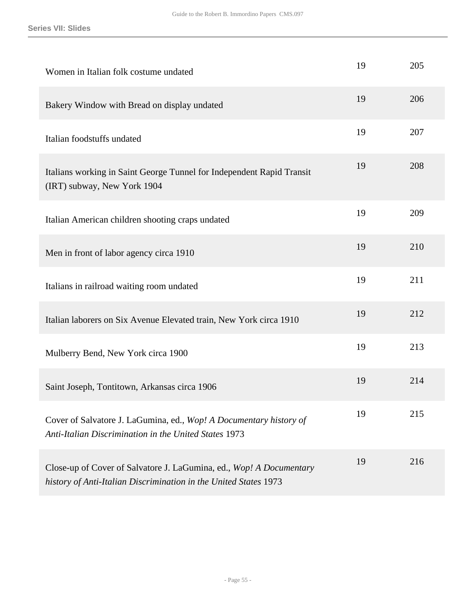| Women in Italian folk costume undated                                                                                                   | 19 | 205 |
|-----------------------------------------------------------------------------------------------------------------------------------------|----|-----|
| Bakery Window with Bread on display undated                                                                                             | 19 | 206 |
| Italian foodstuffs undated                                                                                                              | 19 | 207 |
| Italians working in Saint George Tunnel for Independent Rapid Transit<br>(IRT) subway, New York 1904                                    | 19 | 208 |
| Italian American children shooting craps undated                                                                                        | 19 | 209 |
| Men in front of labor agency circa 1910                                                                                                 | 19 | 210 |
| Italians in railroad waiting room undated                                                                                               | 19 | 211 |
| Italian laborers on Six Avenue Elevated train, New York circa 1910                                                                      | 19 | 212 |
| Mulberry Bend, New York circa 1900                                                                                                      | 19 | 213 |
| Saint Joseph, Tontitown, Arkansas circa 1906                                                                                            | 19 | 214 |
| Cover of Salvatore J. LaGumina, ed., Wop! A Documentary history of<br>Anti-Italian Discrimination in the United States 1973             | 19 | 215 |
| Close-up of Cover of Salvatore J. LaGumina, ed., Wop! A Documentary<br>history of Anti-Italian Discrimination in the United States 1973 | 19 | 216 |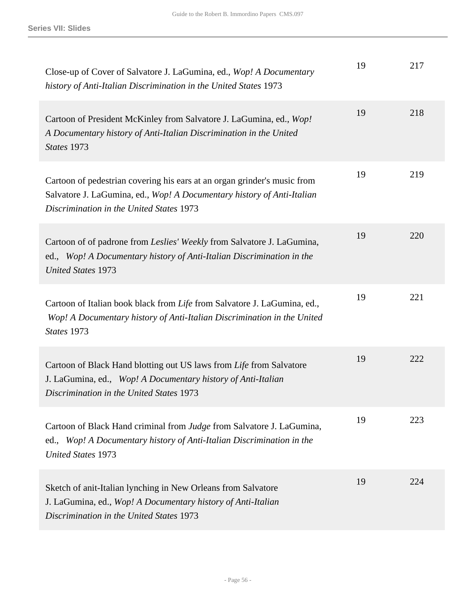| Close-up of Cover of Salvatore J. LaGumina, ed., Wop! A Documentary<br>history of Anti-Italian Discrimination in the United States 1973                                                        | 19 | 217 |
|------------------------------------------------------------------------------------------------------------------------------------------------------------------------------------------------|----|-----|
| Cartoon of President McKinley from Salvatore J. LaGumina, ed., Wop!<br>A Documentary history of Anti-Italian Discrimination in the United<br>States 1973                                       | 19 | 218 |
| Cartoon of pedestrian covering his ears at an organ grinder's music from<br>Salvatore J. LaGumina, ed., Wop! A Documentary history of Anti-Italian<br>Discrimination in the United States 1973 | 19 | 219 |
| Cartoon of of padrone from Leslies' Weekly from Salvatore J. LaGumina,<br>ed., Wop! A Documentary history of Anti-Italian Discrimination in the<br><b>United States 1973</b>                   | 19 | 220 |
| Cartoon of Italian book black from Life from Salvatore J. LaGumina, ed.,<br>Wop! A Documentary history of Anti-Italian Discrimination in the United<br>States 1973                             | 19 | 221 |
| Cartoon of Black Hand blotting out US laws from Life from Salvatore<br>J. LaGumina, ed., Wop! A Documentary history of Anti-Italian<br>Discrimination in the United States 1973                | 19 | 222 |
| Cartoon of Black Hand criminal from Judge from Salvatore J. LaGumina,<br>ed., Wop! A Documentary history of Anti-Italian Discrimination in the<br><b>United States 1973</b>                    | 19 | 223 |
| Sketch of anit-Italian lynching in New Orleans from Salvatore<br>J. LaGumina, ed., Wop! A Documentary history of Anti-Italian<br>Discrimination in the United States 1973                      | 19 | 224 |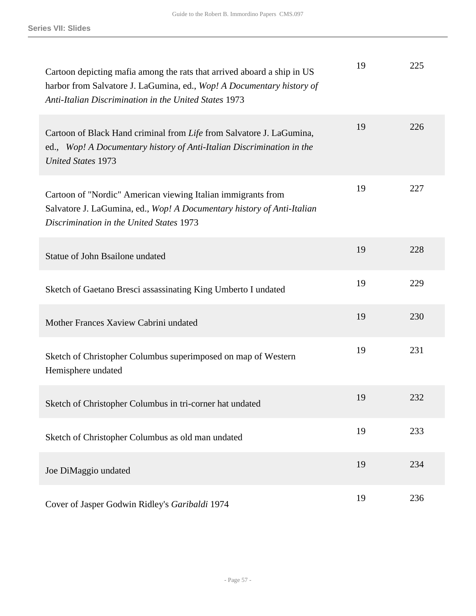| Cartoon depicting mafia among the rats that arrived aboard a ship in US<br>harbor from Salvatore J. LaGumina, ed., Wop! A Documentary history of<br>Anti-Italian Discrimination in the United States 1973 | 19 | 225 |
|-----------------------------------------------------------------------------------------------------------------------------------------------------------------------------------------------------------|----|-----|
| Cartoon of Black Hand criminal from Life from Salvatore J. LaGumina,<br>ed., Wop! A Documentary history of Anti-Italian Discrimination in the<br><b>United States 1973</b>                                | 19 | 226 |
| Cartoon of "Nordic" American viewing Italian immigrants from<br>Salvatore J. LaGumina, ed., Wop! A Documentary history of Anti-Italian<br>Discrimination in the United States 1973                        | 19 | 227 |
| Statue of John Bsailone undated                                                                                                                                                                           | 19 | 228 |
| Sketch of Gaetano Bresci assassinating King Umberto I undated                                                                                                                                             | 19 | 229 |
| Mother Frances Xaview Cabrini undated                                                                                                                                                                     | 19 | 230 |
| Sketch of Christopher Columbus superimposed on map of Western<br>Hemisphere undated                                                                                                                       | 19 | 231 |
| Sketch of Christopher Columbus in tri-corner hat undated                                                                                                                                                  | 19 | 232 |
| Sketch of Christopher Columbus as old man undated                                                                                                                                                         | 19 | 233 |
| Joe DiMaggio undated                                                                                                                                                                                      | 19 | 234 |
| Cover of Jasper Godwin Ridley's Garibaldi 1974                                                                                                                                                            | 19 | 236 |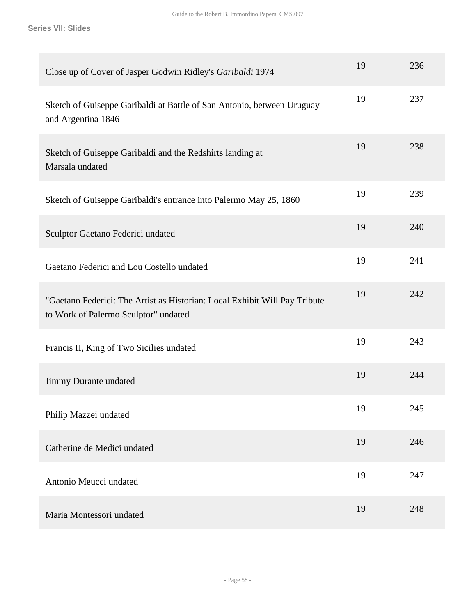| Close up of Cover of Jasper Godwin Ridley's Garibaldi 1974                                                         | 19 | 236 |
|--------------------------------------------------------------------------------------------------------------------|----|-----|
| Sketch of Guiseppe Garibaldi at Battle of San Antonio, between Uruguay<br>and Argentina 1846                       | 19 | 237 |
| Sketch of Guiseppe Garibaldi and the Redshirts landing at<br>Marsala undated                                       | 19 | 238 |
| Sketch of Guiseppe Garibaldi's entrance into Palermo May 25, 1860                                                  | 19 | 239 |
| Sculptor Gaetano Federici undated                                                                                  | 19 | 240 |
| Gaetano Federici and Lou Costello undated                                                                          | 19 | 241 |
| "Gaetano Federici: The Artist as Historian: Local Exhibit Will Pay Tribute<br>to Work of Palermo Sculptor" undated | 19 | 242 |
| Francis II, King of Two Sicilies undated                                                                           | 19 | 243 |
| Jimmy Durante undated                                                                                              | 19 | 244 |
| Philip Mazzei undated                                                                                              | 19 | 245 |
| Catherine de Medici undated                                                                                        | 19 | 246 |
| Antonio Meucci undated                                                                                             | 19 | 247 |
| Maria Montessori undated                                                                                           | 19 | 248 |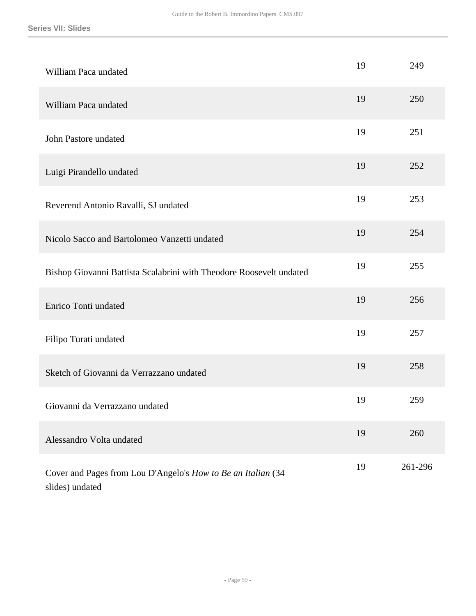| William Paca undated                                                            | 19 | 249     |
|---------------------------------------------------------------------------------|----|---------|
| William Paca undated                                                            | 19 | 250     |
| John Pastore undated                                                            | 19 | 251     |
| Luigi Pirandello undated                                                        | 19 | 252     |
| Reverend Antonio Ravalli, SJ undated                                            | 19 | 253     |
| Nicolo Sacco and Bartolomeo Vanzetti undated                                    | 19 | 254     |
| Bishop Giovanni Battista Scalabrini with Theodore Roosevelt undated             | 19 | 255     |
| Enrico Tonti undated                                                            | 19 | 256     |
| Filipo Turati undated                                                           | 19 | 257     |
| Sketch of Giovanni da Verrazzano undated                                        | 19 | 258     |
| Giovanni da Verrazzano undated                                                  | 19 | 259     |
| Alessandro Volta undated                                                        | 19 | 260     |
| Cover and Pages from Lou D'Angelo's How to Be an Italian (34<br>slides) undated | 19 | 261-296 |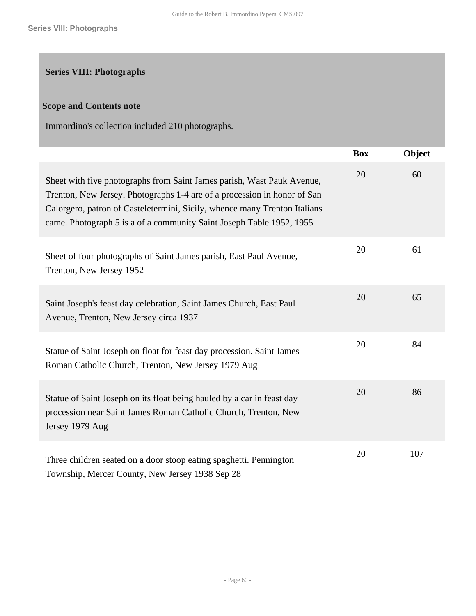## <span id="page-59-0"></span>**Series VIII: Photographs**

### **Scope and Contents note**

Immordino's collection included 210 photographs.

|                                                                                                                                                                                                                                                                                                         | <b>Box</b> | Object |
|---------------------------------------------------------------------------------------------------------------------------------------------------------------------------------------------------------------------------------------------------------------------------------------------------------|------------|--------|
| Sheet with five photographs from Saint James parish, Wast Pauk Avenue,<br>Trenton, New Jersey. Photographs 1-4 are of a procession in honor of San<br>Calorgero, patron of Casteletermini, Sicily, whence many Trenton Italians<br>came. Photograph 5 is a of a community Saint Joseph Table 1952, 1955 | 20         | 60     |
| Sheet of four photographs of Saint James parish, East Paul Avenue,<br>Trenton, New Jersey 1952                                                                                                                                                                                                          | 20         | 61     |
| Saint Joseph's feast day celebration, Saint James Church, East Paul<br>Avenue, Trenton, New Jersey circa 1937                                                                                                                                                                                           | 20         | 65     |
| Statue of Saint Joseph on float for feast day procession. Saint James<br>Roman Catholic Church, Trenton, New Jersey 1979 Aug                                                                                                                                                                            | 20         | 84     |
| Statue of Saint Joseph on its float being hauled by a car in feast day<br>procession near Saint James Roman Catholic Church, Trenton, New<br>Jersey 1979 Aug                                                                                                                                            | 20         | 86     |
| Three children seated on a door stoop eating spaghetti. Pennington<br>Township, Mercer County, New Jersey 1938 Sep 28                                                                                                                                                                                   | 20         | 107    |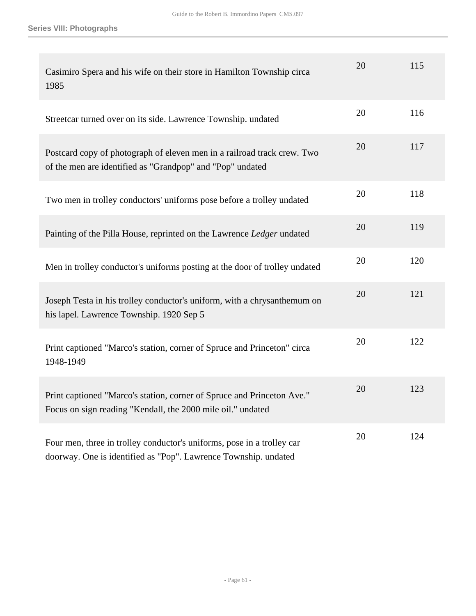| Casimiro Spera and his wife on their store in Hamilton Township circa<br>1985                                                             | 20 | 115 |
|-------------------------------------------------------------------------------------------------------------------------------------------|----|-----|
| Streetcar turned over on its side. Lawrence Township. undated                                                                             | 20 | 116 |
| Postcard copy of photograph of eleven men in a railroad track crew. Two<br>of the men are identified as "Grandpop" and "Pop" undated      | 20 | 117 |
| Two men in trolley conductors' uniforms pose before a trolley undated                                                                     | 20 | 118 |
| Painting of the Pilla House, reprinted on the Lawrence Ledger undated                                                                     | 20 | 119 |
| Men in trolley conductor's uniforms posting at the door of trolley undated                                                                | 20 | 120 |
| Joseph Testa in his trolley conductor's uniform, with a chrysanthemum on<br>his lapel. Lawrence Township. 1920 Sep 5                      | 20 | 121 |
| Print captioned "Marco's station, corner of Spruce and Princeton" circa<br>1948-1949                                                      | 20 | 122 |
| Print captioned "Marco's station, corner of Spruce and Princeton Ave."<br>Focus on sign reading "Kendall, the 2000 mile oil." undated     | 20 | 123 |
| Four men, three in trolley conductor's uniforms, pose in a trolley car<br>doorway. One is identified as "Pop". Lawrence Township. undated | 20 | 124 |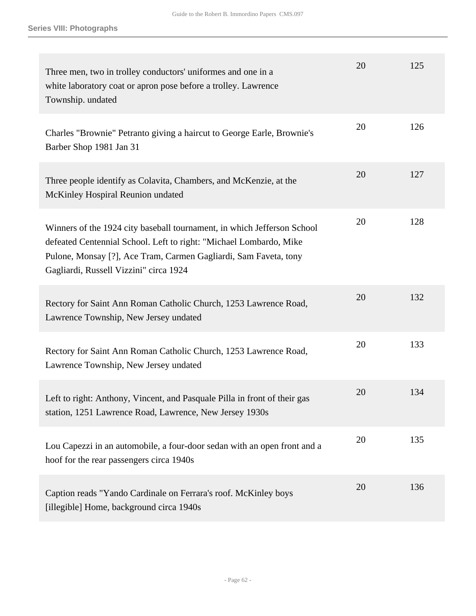| Three men, two in trolley conductors' uniformes and one in a<br>white laboratory coat or apron pose before a trolley. Lawrence<br>Township. undated                                                                                                         | 20 | 125 |
|-------------------------------------------------------------------------------------------------------------------------------------------------------------------------------------------------------------------------------------------------------------|----|-----|
| Charles "Brownie" Petranto giving a haircut to George Earle, Brownie's<br>Barber Shop 1981 Jan 31                                                                                                                                                           | 20 | 126 |
| Three people identify as Colavita, Chambers, and McKenzie, at the<br>McKinley Hospiral Reunion undated                                                                                                                                                      | 20 | 127 |
| Winners of the 1924 city baseball tournament, in which Jefferson School<br>defeated Centennial School. Left to right: "Michael Lombardo, Mike<br>Pulone, Monsay [?], Ace Tram, Carmen Gagliardi, Sam Faveta, tony<br>Gagliardi, Russell Vizzini" circa 1924 | 20 | 128 |
| Rectory for Saint Ann Roman Catholic Church, 1253 Lawrence Road,<br>Lawrence Township, New Jersey undated                                                                                                                                                   | 20 | 132 |
| Rectory for Saint Ann Roman Catholic Church, 1253 Lawrence Road,<br>Lawrence Township, New Jersey undated                                                                                                                                                   | 20 | 133 |
| Left to right: Anthony, Vincent, and Pasquale Pilla in front of their gas<br>station, 1251 Lawrence Road, Lawrence, New Jersey 1930s                                                                                                                        | 20 | 134 |
| Lou Capezzi in an automobile, a four-door sedan with an open front and a<br>hoof for the rear passengers circa 1940s                                                                                                                                        | 20 | 135 |
| Caption reads "Yando Cardinale on Ferrara's roof. McKinley boys<br>[illegible] Home, background circa 1940s                                                                                                                                                 | 20 | 136 |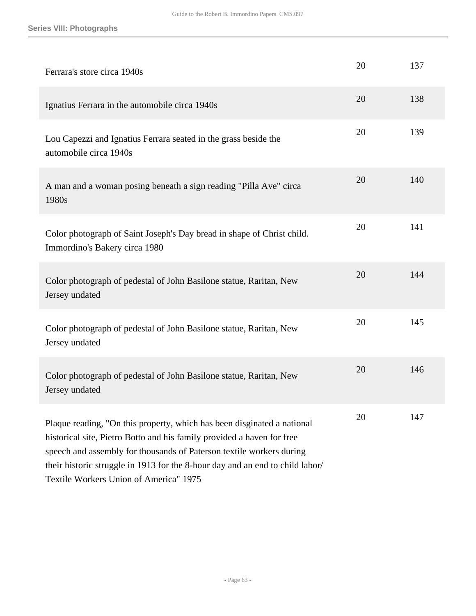| Ferrara's store circa 1940s                                                                                                                                                                                                                                                                                                                          | 20 | 137 |
|------------------------------------------------------------------------------------------------------------------------------------------------------------------------------------------------------------------------------------------------------------------------------------------------------------------------------------------------------|----|-----|
| Ignatius Ferrara in the automobile circa 1940s                                                                                                                                                                                                                                                                                                       | 20 | 138 |
| Lou Capezzi and Ignatius Ferrara seated in the grass beside the<br>automobile circa 1940s                                                                                                                                                                                                                                                            | 20 | 139 |
| A man and a woman posing beneath a sign reading "Pilla Ave" circa<br>1980s                                                                                                                                                                                                                                                                           | 20 | 140 |
| Color photograph of Saint Joseph's Day bread in shape of Christ child.<br>Immordino's Bakery circa 1980                                                                                                                                                                                                                                              | 20 | 141 |
| Color photograph of pedestal of John Basilone statue, Raritan, New<br>Jersey undated                                                                                                                                                                                                                                                                 | 20 | 144 |
| Color photograph of pedestal of John Basilone statue, Raritan, New<br>Jersey undated                                                                                                                                                                                                                                                                 | 20 | 145 |
| Color photograph of pedestal of John Basilone statue, Raritan, New<br>Jersey undated                                                                                                                                                                                                                                                                 | 20 | 146 |
| Plaque reading, "On this property, which has been disginated a national<br>historical site, Pietro Botto and his family provided a haven for free<br>speech and assembly for thousands of Paterson textile workers during<br>their historic struggle in 1913 for the 8-hour day and an end to child labor/<br>Textile Workers Union of America" 1975 | 20 | 147 |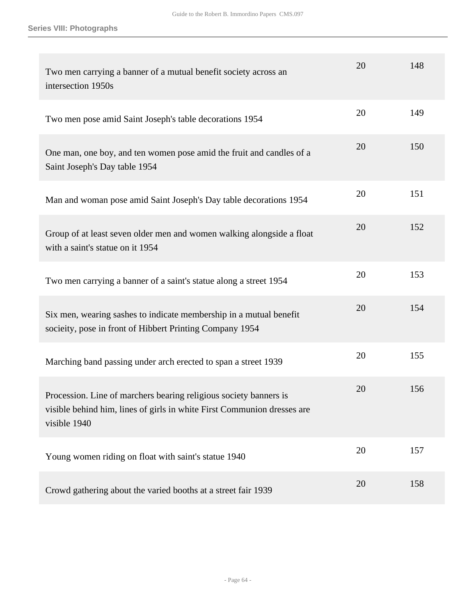| Two men carrying a banner of a mutual benefit society across an<br>intersection 1950s                                                                        | 20 | 148 |
|--------------------------------------------------------------------------------------------------------------------------------------------------------------|----|-----|
| Two men pose amid Saint Joseph's table decorations 1954                                                                                                      | 20 | 149 |
| One man, one boy, and ten women pose amid the fruit and candles of a<br>Saint Joseph's Day table 1954                                                        | 20 | 150 |
| Man and woman pose amid Saint Joseph's Day table decorations 1954                                                                                            | 20 | 151 |
| Group of at least seven older men and women walking alongside a float<br>with a saint's statue on it 1954                                                    | 20 | 152 |
| Two men carrying a banner of a saint's statue along a street 1954                                                                                            | 20 | 153 |
| Six men, wearing sashes to indicate membership in a mutual benefit<br>socieity, pose in front of Hibbert Printing Company 1954                               | 20 | 154 |
| Marching band passing under arch erected to span a street 1939                                                                                               | 20 | 155 |
| Procession. Line of marchers bearing religious society banners is<br>visible behind him, lines of girls in white First Communion dresses are<br>visible 1940 | 20 | 156 |
| Young women riding on float with saint's statue 1940                                                                                                         | 20 | 157 |
| Crowd gathering about the varied booths at a street fair 1939                                                                                                | 20 | 158 |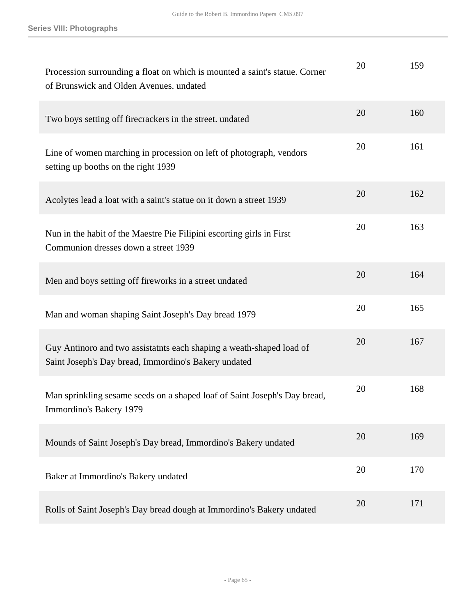| Procession surrounding a float on which is mounted a saint's statue. Corner<br>of Brunswick and Olden Avenues. undated       | 20 | 159 |
|------------------------------------------------------------------------------------------------------------------------------|----|-----|
| Two boys setting off firecrackers in the street. undated                                                                     | 20 | 160 |
| Line of women marching in procession on left of photograph, vendors<br>setting up booths on the right 1939                   | 20 | 161 |
| Acolytes lead a loat with a saint's statue on it down a street 1939                                                          | 20 | 162 |
| Nun in the habit of the Maestre Pie Filipini escorting girls in First<br>Communion dresses down a street 1939                | 20 | 163 |
| Men and boys setting off fireworks in a street undated                                                                       | 20 | 164 |
| Man and woman shaping Saint Joseph's Day bread 1979                                                                          | 20 | 165 |
| Guy Antinoro and two assistatnts each shaping a weath-shaped load of<br>Saint Joseph's Day bread, Immordino's Bakery undated | 20 | 167 |
| Man sprinkling sesame seeds on a shaped loaf of Saint Joseph's Day bread,<br>Immordino's Bakery 1979                         | 20 | 168 |
| Mounds of Saint Joseph's Day bread, Immordino's Bakery undated                                                               | 20 | 169 |
| Baker at Immordino's Bakery undated                                                                                          | 20 | 170 |
| Rolls of Saint Joseph's Day bread dough at Immordino's Bakery undated                                                        | 20 | 171 |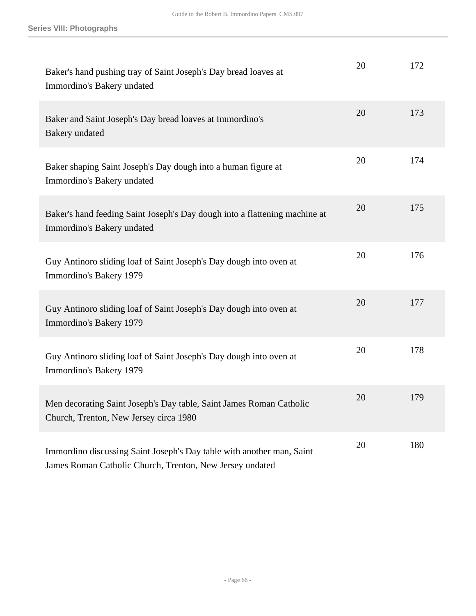| Baker's hand pushing tray of Saint Joseph's Day bread loaves at<br>Immordino's Bakery undated                                     | 20 | 172 |
|-----------------------------------------------------------------------------------------------------------------------------------|----|-----|
| Baker and Saint Joseph's Day bread loaves at Immordino's<br>Bakery undated                                                        | 20 | 173 |
| Baker shaping Saint Joseph's Day dough into a human figure at<br>Immordino's Bakery undated                                       | 20 | 174 |
| Baker's hand feeding Saint Joseph's Day dough into a flattening machine at<br>Immordino's Bakery undated                          | 20 | 175 |
| Guy Antinoro sliding loaf of Saint Joseph's Day dough into oven at<br>Immordino's Bakery 1979                                     | 20 | 176 |
| Guy Antinoro sliding loaf of Saint Joseph's Day dough into oven at<br>Immordino's Bakery 1979                                     | 20 | 177 |
| Guy Antinoro sliding loaf of Saint Joseph's Day dough into oven at<br>Immordino's Bakery 1979                                     | 20 | 178 |
| Men decorating Saint Joseph's Day table, Saint James Roman Catholic<br>Church, Trenton, New Jersey circa 1980                     | 20 | 179 |
| Immordino discussing Saint Joseph's Day table with another man, Saint<br>James Roman Catholic Church, Trenton, New Jersey undated | 20 | 180 |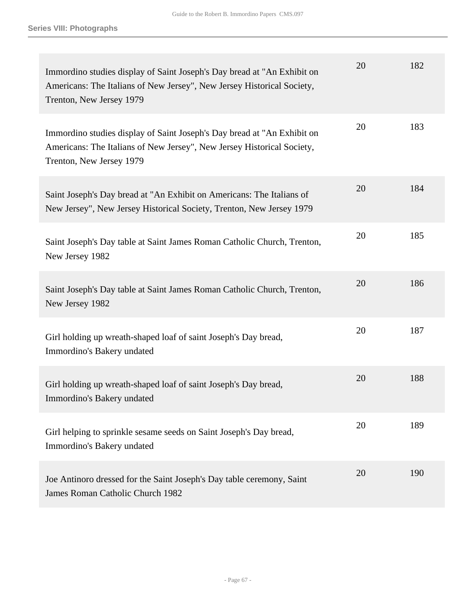| Immordino studies display of Saint Joseph's Day bread at "An Exhibit on<br>Americans: The Italians of New Jersey", New Jersey Historical Society,<br>Trenton, New Jersey 1979 | 20 | 182 |
|-------------------------------------------------------------------------------------------------------------------------------------------------------------------------------|----|-----|
| Immordino studies display of Saint Joseph's Day bread at "An Exhibit on<br>Americans: The Italians of New Jersey", New Jersey Historical Society,<br>Trenton, New Jersey 1979 | 20 | 183 |
| Saint Joseph's Day bread at "An Exhibit on Americans: The Italians of<br>New Jersey", New Jersey Historical Society, Trenton, New Jersey 1979                                 | 20 | 184 |
| Saint Joseph's Day table at Saint James Roman Catholic Church, Trenton,<br>New Jersey 1982                                                                                    | 20 | 185 |
| Saint Joseph's Day table at Saint James Roman Catholic Church, Trenton,<br>New Jersey 1982                                                                                    | 20 | 186 |
| Girl holding up wreath-shaped loaf of saint Joseph's Day bread,<br>Immordino's Bakery undated                                                                                 | 20 | 187 |
| Girl holding up wreath-shaped loaf of saint Joseph's Day bread,<br>Immordino's Bakery undated                                                                                 | 20 | 188 |
| Girl helping to sprinkle sesame seeds on Saint Joseph's Day bread,<br>Immordino's Bakery undated                                                                              | 20 | 189 |
| Joe Antinoro dressed for the Saint Joseph's Day table ceremony, Saint<br>James Roman Catholic Church 1982                                                                     | 20 | 190 |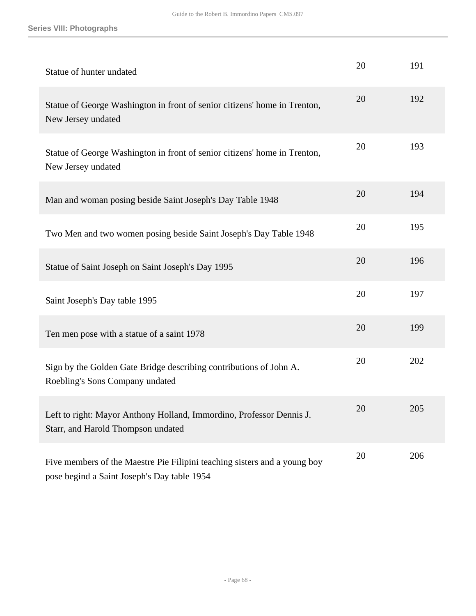| Statue of hunter undated                                                                                                 | 20 | 191 |
|--------------------------------------------------------------------------------------------------------------------------|----|-----|
| Statue of George Washington in front of senior citizens' home in Trenton,<br>New Jersey undated                          | 20 | 192 |
| Statue of George Washington in front of senior citizens' home in Trenton,<br>New Jersey undated                          | 20 | 193 |
| Man and woman posing beside Saint Joseph's Day Table 1948                                                                | 20 | 194 |
| Two Men and two women posing beside Saint Joseph's Day Table 1948                                                        | 20 | 195 |
| Statue of Saint Joseph on Saint Joseph's Day 1995                                                                        | 20 | 196 |
| Saint Joseph's Day table 1995                                                                                            | 20 | 197 |
| Ten men pose with a statue of a saint 1978                                                                               | 20 | 199 |
| Sign by the Golden Gate Bridge describing contributions of John A.<br>Roebling's Sons Company undated                    | 20 | 202 |
| Left to right: Mayor Anthony Holland, Immordino, Professor Dennis J.<br>Starr, and Harold Thompson undated               | 20 | 205 |
| Five members of the Maestre Pie Filipini teaching sisters and a young boy<br>pose begind a Saint Joseph's Day table 1954 | 20 | 206 |